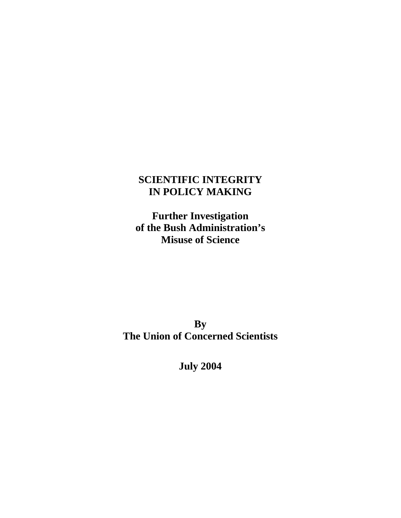# **SCIENTIFIC INTEGRITY IN POLICY MAKING**

**Further Investigation of the Bush Administration's Misuse of Science** 

**By The Union of Concerned Scientists** 

**July 2004**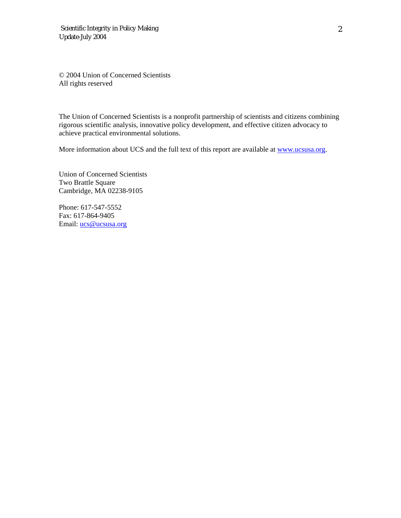© 2004 Union of Concerned Scientists All rights reserved

The Union of Concerned Scientists is a nonprofit partnership of scientists and citizens combining rigorous scientific analysis, innovative policy development, and effective citizen advocacy to achieve practical environmental solutions.

More information about UCS and the full text of this report are available at [www.ucsusa.org.](http://www.ucsusa.org/)

Union of Concerned Scientists Two Brattle Square Cambridge, MA 02238-9105

Phone: 617-547-5552 Fax: 617-864-9405 Email: [ucs@ucsusa.org](mailto:ucs@ucsusa.org)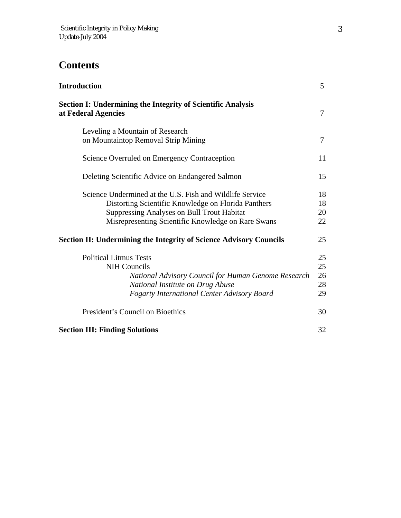## **Contents**

| <b>Introduction</b>                                                                                                                                                                                                 | 5                          |
|---------------------------------------------------------------------------------------------------------------------------------------------------------------------------------------------------------------------|----------------------------|
| <b>Section I: Undermining the Integrity of Scientific Analysis</b><br>at Federal Agencies                                                                                                                           | $\tau$                     |
| Leveling a Mountain of Research<br>on Mountaintop Removal Strip Mining                                                                                                                                              | $\overline{7}$             |
| Science Overruled on Emergency Contraception                                                                                                                                                                        | 11                         |
| Deleting Scientific Advice on Endangered Salmon                                                                                                                                                                     | 15                         |
| Science Undermined at the U.S. Fish and Wildlife Service<br>Distorting Scientific Knowledge on Florida Panthers<br>Suppressing Analyses on Bull Trout Habitat<br>Misrepresenting Scientific Knowledge on Rare Swans | 18<br>18<br>20<br>22       |
| <b>Section II: Undermining the Integrity of Science Advisory Councils</b>                                                                                                                                           | 25                         |
| <b>Political Litmus Tests</b><br><b>NIH Councils</b><br>National Advisory Council for Human Genome Research<br>National Institute on Drug Abuse<br><b>Fogarty International Center Advisory Board</b>               | 25<br>25<br>26<br>28<br>29 |
| President's Council on Bioethics                                                                                                                                                                                    | 30                         |
| <b>Section III: Finding Solutions</b>                                                                                                                                                                               | 32                         |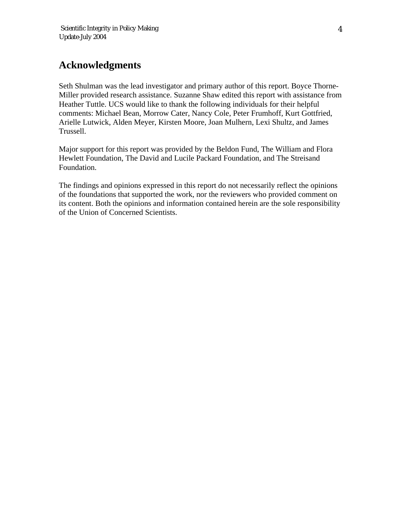## **Acknowledgments**

Seth Shulman was the lead investigator and primary author of this report. Boyce Thorne-Miller provided research assistance. Suzanne Shaw edited this report with assistance from Heather Tuttle. UCS would like to thank the following individuals for their helpful comments: Michael Bean, Morrow Cater, Nancy Cole, Peter Frumhoff, Kurt Gottfried, Arielle Lutwick, Alden Meyer, Kirsten Moore, Joan Mulhern, Lexi Shultz, and James Trussell.

Major support for this report was provided by the Beldon Fund, The William and Flora Hewlett Foundation, The David and Lucile Packard Foundation, and The Streisand Foundation.

The findings and opinions expressed in this report do not necessarily reflect the opinions of the foundations that supported the work, nor the reviewers who provided comment on its content. Both the opinions and information contained herein are the sole responsibility of the Union of Concerned Scientists.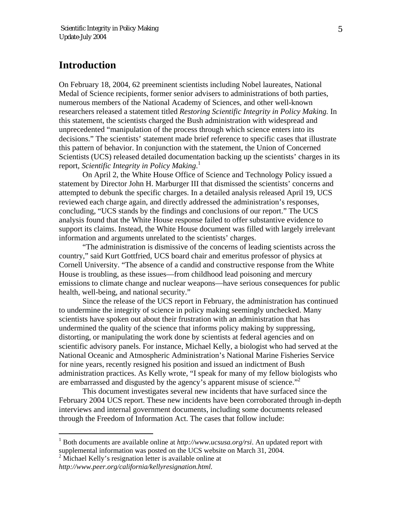## **Introduction**

On February 18, 2004, 62 preeminent scientists including Nobel laureates, National Medal of Science recipients, former senior advisers to administrations of both parties, numerous members of the National Academy of Sciences, and other well-known researchers released a statement titled *Restoring Scientific Integrity in Policy Making.* In this statement, the scientists charged the Bush administration with widespread and unprecedented "manipulation of the process through which science enters into its decisions." The scientists' statement made brief reference to specific cases that illustrate this pattern of behavior. In conjunction with the statement, the Union of Concerned Scientists (UCS) released detailed documentation backing up the scientists' charges in its report, *Scientific Integrity in Policy Making*. [1](#page-4-0)

On April 2, the White House Office of Science and Technology Policy issued a statement by Director John H. Marburger III that dismissed the scientists' concerns and attempted to debunk the specific charges. In a detailed analysis released April 19, UCS reviewed each charge again, and directly addressed the administration's responses, concluding, "UCS stands by the findings and conclusions of our report." The UCS analysis found that the White House response failed to offer substantive evidence to support its claims. Instead, the White House document was filled with largely irrelevant information and arguments unrelated to the scientists' charges.

"The administration is dismissive of the concerns of leading scientists across the country," said Kurt Gottfried, UCS board chair and emeritus professor of physics at Cornell University. "The absence of a candid and constructive response from the White House is troubling, as these issues—from childhood lead poisoning and mercury emissions to climate change and nuclear weapons—have serious consequences for public health, well-being, and national security."

Since the release of the UCS report in February, the administration has continued to undermine the integrity of science in policy making seemingly unchecked. Many scientists have spoken out about their frustration with an administration that has undermined the quality of the science that informs policy making by suppressing, distorting, or manipulating the work done by scientists at federal agencies and on scientific advisory panels. For instance, Michael Kelly, a biologist who had served at the National Oceanic and Atmospheric Administration's National Marine Fisheries Service for nine years, recently resigned his position and issued an indictment of Bush administration practices. As Kelly wrote, "I speak for many of my fellow biologists who are embarrassed and disgusted by the agency's apparent misuse of science."<sup>[2](#page-4-1)</sup>

This document investigates several new incidents that have surfaced since the February 2004 UCS report. These new incidents have been corroborated through in-depth interviews and internal government documents, including some documents released through the Freedom of Information Act. The cases that follow include:

-

<span id="page-4-0"></span><sup>&</sup>lt;sup>1</sup> Both documents are available online at *http://www.ucsusa.org/rsi*. An updated report with supplemental information was posted on the UCS website on March 31, 2004.

<span id="page-4-1"></span> $2$  Michael Kelly's resignation letter is available online at *http://www.peer.org/california/kellyresignation.html.*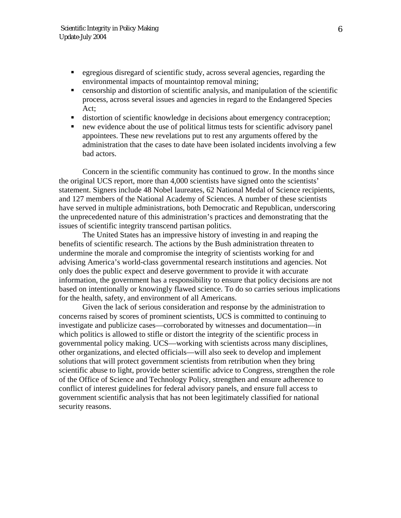- ! egregious disregard of scientific study, across several agencies, regarding the environmental impacts of mountaintop removal mining;
- ! censorship and distortion of scientific analysis, and manipulation of the scientific process, across several issues and agencies in regard to the Endangered Species Act;
- ! distortion of scientific knowledge in decisions about emergency contraception;
- ! new evidence about the use of political litmus tests for scientific advisory panel appointees. These new revelations put to rest any arguments offered by the administration that the cases to date have been isolated incidents involving a few bad actors.

Concern in the scientific community has continued to grow. In the months since the original UCS report, more than 4,000 scientists have signed onto the scientists' statement. Signers include 48 Nobel laureates, 62 National Medal of Science recipients, and 127 members of the National Academy of Sciences. A number of these scientists have served in multiple administrations, both Democratic and Republican, underscoring the unprecedented nature of this administration's practices and demonstrating that the issues of scientific integrity transcend partisan politics.

The United States has an impressive history of investing in and reaping the benefits of scientific research. The actions by the Bush administration threaten to undermine the morale and compromise the integrity of scientists working for and advising America's world-class governmental research institutions and agencies. Not only does the public expect and deserve government to provide it with accurate information, the government has a responsibility to ensure that policy decisions are not based on intentionally or knowingly flawed science. To do so carries serious implications for the health, safety, and environment of all Americans.

Given the lack of serious consideration and response by the administration to concerns raised by scores of prominent scientists, UCS is committed to continuing to investigate and publicize cases—corroborated by witnesses and documentation—in which politics is allowed to stifle or distort the integrity of the scientific process in governmental policy making. UCS—working with scientists across many disciplines, other organizations, and elected officials—will also seek to develop and implement solutions that will protect government scientists from retribution when they bring scientific abuse to light, provide better scientific advice to Congress, strengthen the role of the Office of Science and Technology Policy, strengthen and ensure adherence to conflict of interest guidelines for federal advisory panels, and ensure full access to government scientific analysis that has not been legitimately classified for national security reasons.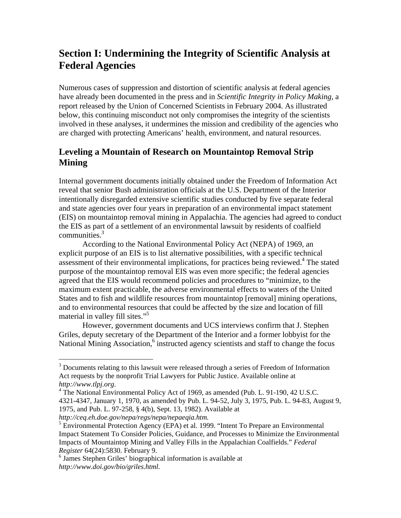# **Section I: Undermining the Integrity of Scientific Analysis at Federal Agencies**

Numerous cases of suppression and distortion of scientific analysis at federal agencies have already been documented in the press and in *Scientific Integrity in Policy Making,* a report released by the Union of Concerned Scientists in February 2004. As illustrated below, this continuing misconduct not only compromises the integrity of the scientists involved in these analyses, it undermines the mission and credibility of the agencies who are charged with protecting Americans' health, environment, and natural resources.

## **Leveling a Mountain of Research on Mountaintop Removal Strip Mining**

Internal government documents initially obtained under the Freedom of Information Act reveal that senior Bush administration officials at the U.S. Department of the Interior intentionally disregarded extensive scientific studies conducted by five separate federal and state agencies over four years in preparation of an environmental impact statement (EIS) on mountaintop removal mining in Appalachia. The agencies had agreed to conduct the EIS as part of a settlement of an environmental lawsuit by residents of coalfield communities.<sup>3</sup>

According to the National Environmental Policy Act (NEPA) of 1969, an explicit purpose of an EIS is to list alternative possibilities, with a specific technical assessment of their environmental implications, for practices being reviewed.<sup>4</sup> The stated purpose of the mountaintop removal EIS was even more specific; the federal agencies agreed that the EIS would recommend policies and procedures to "minimize, to the maximum extent practicable, the adverse environmental effects to waters of the United States and to fish and wildlife resources from mountaintop [removal] mining operations, and to environmental resources that could be affected by the size and location of fill material in valley fill sites."<sup>[5](#page-6-2)</sup>

However, government documents and UCS interviews confirm that J. Stephen Griles, deputy secretary of the Department of the Interior and a former lobbyist for the National Mining Association,<sup>[6](#page-6-3)</sup> instructed agency scientists and staff to change the focus

*http://ceq.eh.doe.gov/nepa/regs/nepa/nepaeqia.htm.* 

-

<span id="page-6-0"></span> $3$  Documents relating to this lawsuit were released through a series of Freedom of Information Act requests by the nonprofit Trial Lawyers for Public Justice. Available online at *http://www.tlpj.org*. 4

<span id="page-6-1"></span><sup>&</sup>lt;sup>4</sup> The National Environmental Policy Act of 1969, as amended (Pub. L. 91-190, 42 U.S.C. 4321-4347, January 1, 1970, as amended by Pub. L. 94-52, July 3, 1975, Pub. L. 94-83, August 9, 1975, and Pub. L. 97-258, § 4(b), Sept. 13, 1982). Available at

<span id="page-6-2"></span><sup>&</sup>lt;sup>5</sup> Environmental Protection Agency (EPA) et al. 1999. "Intent To Prepare an Environmental Impact Statement To Consider Policies, Guidance, and Processes to Minimize the Environmental Impacts of Mountaintop Mining and Valley Fills in the Appalachian Coalfields." *Federal Register* 64(24):5830. February 9.

<span id="page-6-3"></span><sup>&</sup>lt;sup>6</sup> James Stephen Griles' biographical information is available at *http://www.doi.gov/bio/griles.html.*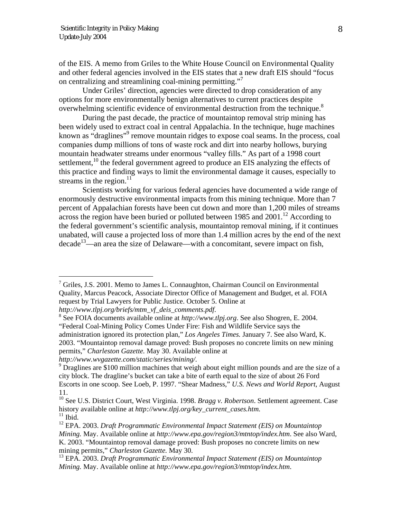of the EIS. A memo from Griles to the White House Council on Environmental Quality and other federal agencies involved in the EIS states that a new draft EIS should "focus oncentralizing and streamlining coal-mining permitting."<sup>7</sup>

Under Griles' direction, agencies were directed to drop consideration of any options for more environmentally benign alternatives to current practices despite overwhelming scientific evidence of environmental destruction from the technique.<sup>[8](#page-7-1)</sup>

During the past decade, the practice of mountaintop removal strip mining has been widely used to extract coal in central Appalachia. In the technique, huge machines known as "draglines"<sup>[9](#page-7-2)</sup> remove mountain ridges to expose coal seams. In the process, coal companies dump millions of tons of waste rock and dirt into nearby hollows, burying mountain headwater streams under enormous "valley fills." As part of a 1998 court settlement,  $10$  the federal government agreed to produce an EIS analyzing the effects of this practice and finding ways to limit the environmental damage it causes, especially to streams in the region. $11$ 

Scientists working for various federal agencies have documented a wide range of enormously destructive environmental impacts from this mining technique. More than 7 percent of Appalachian forests have been cut down and more than 1,200 miles of streams across the region have been buried or polluted between 1985 and  $2001$ <sup>12</sup> According to the federal government's scientific analysis, mountaintop removal mining, if it continues unabated, will cause a projected loss of more than 1.4 million acres by the end of the next decade<sup>13</sup>—an area the size of Delaware—with a concomitant, severe impact on fish,

*http://www.wvgazette.com/static/series/mining/.*

-

<span id="page-7-0"></span><sup>&</sup>lt;sup>7</sup> Griles, J.S. 2001. Memo to James L. Connaughton, Chairman Council on Environmental Quality, Marcus Peacock, Associate Director Office of Management and Budget, et al. FOIA request by Trial Lawyers for Public Justice. October 5. Online at

*http://www.tlpj.org/briefs/mtm\_vf\_deis\_comments.pdf*. 8

<span id="page-7-1"></span>See FOIA documents available online at *http://www.tlpj.org*. See also Shogren, E. 2004. "Federal Coal-Mining Policy Comes Under Fire: Fish and Wildlife Service says the administration ignored its protection plan," *Los Angeles Times.* January 7. See also Ward, K. 2003. "Mountaintop removal damage proved: Bush proposes no concrete limits on new mining permits," *Charleston Gazette.* May 30. Available online at

<span id="page-7-2"></span><sup>&</sup>lt;sup>9</sup> Draglines are \$100 million machines that weigh about eight million pounds and are the size of a city block. The dragline's bucket can take a bite of earth equal to the size of about 26 Ford Escorts in one scoop. See Loeb, P. 1997. "Shear Madness," *U.S. News and World Report*, August 11.

<span id="page-7-3"></span><sup>10</sup> See U.S. District Court, West Virginia. 1998. *Bragg v. Robertson*. Settlement agreement. Case history available online at *http://www.tlpj.org/key\_current\_cases.htm.*

<span id="page-7-4"></span> $11$  Ibid.

<span id="page-7-5"></span><sup>12</sup> EPA. 2003. *Draft Programmatic Environmental Impact Statement (EIS) on Mountaintop Mining.* May. Available online at *http://www.epa.gov/region3/mtntop/index.htm*. See also Ward, K. 2003. "Mountaintop removal damage proved: Bush proposes no concrete limits on new mining permits," *Charleston Gazette.* May 30.

<span id="page-7-6"></span><sup>13</sup> EPA. 2003. *Draft Programmatic Environmental Impact Statement (EIS) on Mountaintop Mining.* May. Available online at *http://www.epa.gov/region3/mtntop/index.htm*.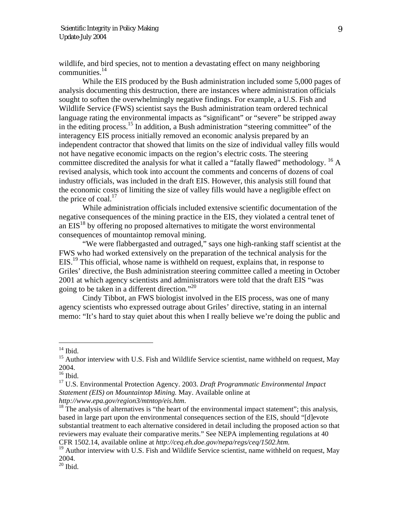wildlife, and bird species, not to mention a devastating effect on many neighboring communities.<sup>14</sup>

While the EIS produced by the Bush administration included some 5,000 pages of analysis documenting this destruction, there are instances where administration officials sought to soften the overwhelmingly negative findings. For example, a U.S. Fish and Wildlife Service (FWS) scientist says the Bush administration team ordered technical language rating the environmental impacts as "significant" or "severe" be stripped away in the editing process.<sup>15</sup> In addition, a Bush administration "steering committee" of the interagency EIS process initially removed an economic analysis prepared by an independent contractor that showed that limits on the size of individual valley fills would not have negative economic impacts on the region's electric costs. The steering committee discredited the analysis for what it called a "fatally flawed" methodology. <sup>16</sup> A revised analysis, which took into account the comments and concerns of dozens of coal industry officials, was included in the draft EIS. However, this analysis still found that the economic costs of limiting the size of valley fills would have a negligible effect on the price of coal. $17$ 

While administration officials included extensive scientific documentation of the negative consequences of the mining practice in the EIS, they violated a central tenet of an  $EIS<sup>18</sup>$  by offering no proposed alternatives to mitigate the worst environmental consequences of mountaintop removal mining.

"We were flabbergasted and outraged," says one high-ranking staff scientist at the FWS who had worked extensively on the preparation of the technical analysis for the EIS.<sup>19</sup> This official, whose name is withheld on request, explains that, in response to Griles' directive, the Bush administration steering committee called a meeting in October 2001 at which agency scientists and administrators were told that the draft EIS "was going to be taken in a different direction."[20](#page-8-6) 

Cindy Tibbot, an FWS biologist involved in the EIS process, was one of many agency scientists who expressed outrage about Griles' directive, stating in an internal memo: "It's hard to stay quiet about this when I really believe we're doing the public and

l

<span id="page-8-2"></span>

<span id="page-8-4"></span>*http://www.epa.gov/region3/mtntop/eis.htm.*<br><sup>18</sup> The analysis of alternatives is "the heart of the environmental impact statement"; this analysis, based in large part upon the environmental consequences section of the EIS, should "[d]evote substantial treatment to each alternative considered in detail including the proposed action so that reviewers may evaluate their comparative merits." See NEPA implementing regulations at 40 CFR 1502.14, available online at *http://ceq.eh.doe.gov/nepa/regs/ceq/1502.htm.*

<span id="page-8-0"></span> $14$  Ibid.

<span id="page-8-1"></span> $15$  Author interview with U.S. Fish and Wildlife Service scientist, name withheld on request, May  $^{2004.}$ <sup>16</sup> Ibid.

<span id="page-8-3"></span><sup>17</sup> U.S. Environmental Protection Agency. 2003. *Draft Programmatic Environmental Impact Statement (EIS) on Mountaintop Mining.* May. Available online at

<span id="page-8-5"></span><sup>&</sup>lt;sup>19</sup> Author interview with U.S. Fish and Wildlife Service scientist, name withheld on request, May  $^{2004.}$ <sup>20</sup> Ibid.

<span id="page-8-6"></span>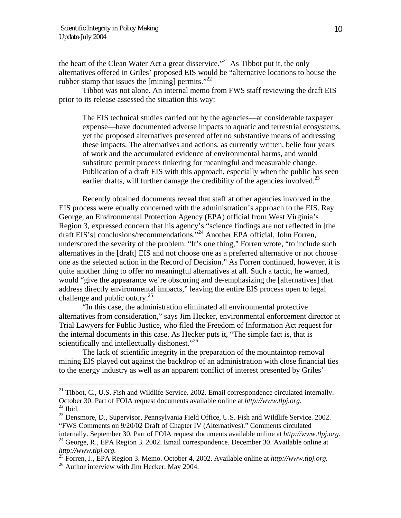the heart of the Clean Water Act a great disservice."<sup>21</sup> As Tibbot put it, the only alternatives offered in Griles' proposed EIS would be "alternative locations to house the rubber stamp that issues the [mining] permits." $^{22}$ 

Tibbot was not alone. An internal memo from FWS staff reviewing the draft EIS prior to its release assessed the situation this way:

The EIS technical studies carried out by the agencies—at considerable taxpayer expense—have documented adverse impacts to aquatic and terrestrial ecosystems, yet the proposed alternatives presented offer no substantive means of addressing these impacts. The alternatives and actions, as currently written, belie four years of work and the accumulated evidence of environmental harms, and would substitute permit process tinkering for meaningful and measurable change. Publication of a draft EIS with this approach, especially when the public has seen earlier drafts, will further damage the credibility of the agencies involved.<sup>[23](#page-9-2)</sup>

Recently obtained documents reveal that staff at other agencies involved in the EIS process were equally concerned with the administration's approach to the EIS. Ray George, an Environmental Protection Agency (EPA) official from West Virginia's Region 3, expressed concern that his agency's "science findings are not reflected in [the draft EIS's] conclusions/recommendations."[24 A](#page-9-3)nother EPA official, John Forren, underscored the severity of the problem. "It's one thing," Forren wrote, "to include such alternatives in the [draft] EIS and not choose one as a preferred alternative or not choose one as the selected action in the Record of Decision." As Forren continued, however, it is quite another thing to offer no meaningful alternatives at all. Such a tactic, he warned, would "give the appearance we're obscuring and de-emphasizing the [alternatives] that address directly environmental impacts," leaving the entire EIS process open to legal challenge and public outcry. $^{25}$ 

 "In this case, the administration eliminated all environmental protective alternatives from consideration," says Jim Hecker, environmental enforcement director at Trial Lawyers for Public Justice, who filed the Freedom of Information Act request for the internal documents in this case. As Hecker puts it, "The simple fact is, that is scientifically and intellectually dishonest."<sup>[26](#page-9-5)</sup>

The lack of scientific integrity in the preparation of the mountaintop removal mining EIS played out against the backdrop of an administration with close financial ties to the energy industry as well as an apparent conflict of interest presented by Griles'

<span id="page-9-0"></span> $21$  Tibbot, C., U.S. Fish and Wildlife Service. 2002. Email correspondence circulated internally. October 30. Part of FOIA request documents available online at *http://www.tlpj.org*. 22 Ibid.

<span id="page-9-2"></span><span id="page-9-1"></span> $^{23}$  Densmore, D., Supervisor, Pennsylvania Field Office, U.S. Fish and Wildlife Service. 2002. "FWS Comments on 9/20/02 Draft of Chapter IV (Alternatives)." Comments circulated

<span id="page-9-3"></span>internally. September 30. Part of FOIA request documents available online at *http://www.tlpj.org.* 24 George, R., EPA Region 3. 2002. Email correspondence. December 30. Available online at *http://www.tlpj.org.*

<span id="page-9-4"></span><sup>25</sup> Forren, J., EPA Region 3. Memo. October 4, 2002. Available online at *http://www.tlpj.org.*

<span id="page-9-5"></span><sup>&</sup>lt;sup>26</sup> Author interview with Jim Hecker, May 2004.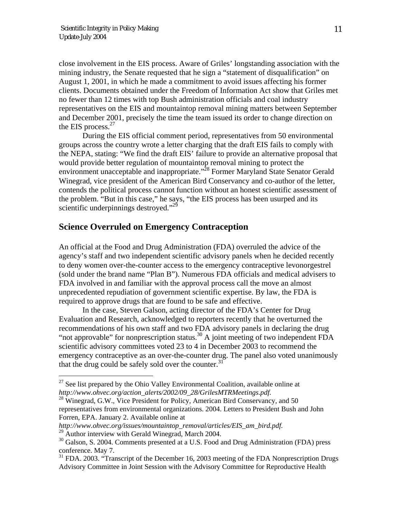<span id="page-10-4"></span>close involvement in the EIS process. Aware of Griles' longstanding association with the mining industry, the Senate requested that he sign a "statement of disqualification" on August 1, 2001, in which he made a commitment to avoid issues affecting his former clients. Documents obtained under the Freedom of Information Act show that Griles met no fewer than 12 times with top Bush administration officials and coal industry representatives on the EIS and mountaintop removal mining matters between September and December 2001, precisely the time the team issued its order to change direction on the EIS process.<sup>[27](#page-10-0)</sup>

During the EIS official comment period, representatives from 50 environmental groups across the country wrote a letter charging that the draft EIS fails to comply with the NEPA, stating: "We find the draft EIS' failure to provide an alternative proposal that would provide better regulation of mountaintop removal mining to protect the environment unacceptable and inappropriate."<sup>28</sup> Former Maryland State Senator Gerald Winegrad, vice president of the American Bird Conservancy and co-author of the letter, contends the political process cannot function without an honest scientific assessment of the problem. "But in this case," he says, "the EIS process has been usurped and its scientific underpinnings destroyed."<sup>[29](#page-10-2)</sup>

### **Science Overruled on Emergency Contraception**

An official at the Food and Drug Administration (FDA) overruled the advice of the agency's staff and two independent scientific advisory panels when he decided recently to deny women over-the-counter access to the emergency contraceptive levonorgestrel (sold under the brand name "Plan B"). Numerous FDA officials and medical advisers to FDA involved in and familiar with the approval process call the move an almost unprecedented repudiation of government scientific expertise. By law, the FDA is required to approve drugs that are found to be safe and effective.

In the case, Steven Galson, acting director of the FDA's Center for Drug Evaluation and Research, acknowledged to reporters recently that he overturned the recommendations of his own staff and two FDA advisory panels in declaring the drug "not approvable" for nonprescription status.<sup>30</sup> A joint meeting of two independent FDA scientific advisory committees voted 23 to 4 in December 2003 to recommend the emergency contraceptive as an over-the-counter drug. The panel also voted unanimously that the drug could be safely sold over the counter.<sup>31</sup>

<span id="page-10-0"></span> $27$  See list prepared by the Ohio Valley Environmental Coalition, available online at *http://www.ohvec.org/action\_alerts/2002/09\_28/GrilesMTRMeetings.pdf.*

<span id="page-10-1"></span> $^{28}$  Winegrad, G.W., Vice President for Policy, American Bird Conservancy, and 50 representatives from environmental organizations. 2004. Letters to President Bush and John Forren, EPA. January 2. Available online at

*http://www.ohvec.org/issues/mountaintop\_removal/articles/EIS\_am\_bird.pdf.*

<span id="page-10-2"></span><sup>&</sup>lt;sup>29</sup> Author interview with Gerald Winegrad, March 2004.

<span id="page-10-3"></span><sup>&</sup>lt;sup>30</sup> Galson, S. 2004. Comments presented at a U.S. Food and Drug Administration (FDA) press conference. May 7.

<sup>&</sup>lt;sup>31</sup> FDA. 2003. "Transcript of the December 16, 2003 meeting of the FDA Nonprescription Drugs Advisory Committee in Joint Session with the Advisory Committee for Reproductive Health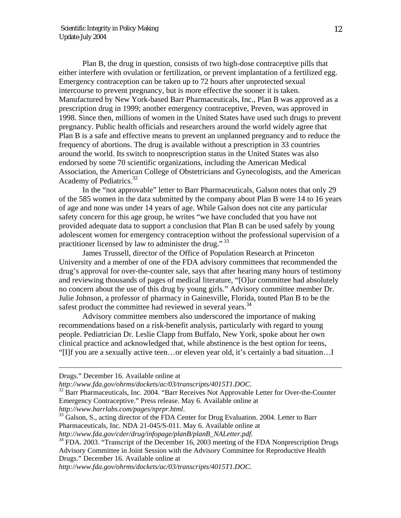Plan B, the drug in question, consists of two high-dose contraceptive pills that either interfere with ovulation or fertilization, or prevent implantation of a fertilized egg. Emergency contraception can be taken up to 72 hours after unprotected sexual intercourse to prevent pregnancy, but is more effective the sooner it is taken. Manufactured by New York-based Barr Pharmaceuticals, Inc., Plan B was approved as a prescription drug in 1999; another emergency contraceptive, Preven, was approved in 1998. Since then, millions of women in the United States have used such drugs to prevent pregnancy. Public health officials and researchers around the world widely agree that Plan B is a safe and effective means to prevent an unplanned pregnancy and to reduce the frequency of abortions. The drug is available without a prescription in 33 countries around the world. Its switch to nonprescription status in the United States was also endorsed by some 70 scientific organizations, including the American Medical Association, the American College of Obstetricians and Gynecologists, and the American Academy of Pediatrics.<sup>32</sup>

In the "not approvable" letter to Barr Pharmaceuticals, Galson notes that only 29 of the 585 women in the data submitted by the company about Plan B were 14 to 16 years of age and none was under 14 years of age. While Galson does not cite any particular safety concern for this age group, he writes "we have concluded that you have not provided adequate data to support a conclusion that Plan B can be used safely by young adolescent women for emergency contraception without the professional supervision of a practitioner licensed by law to administer the drug."<sup>33</sup>

James Trussell, director of the Office of Population Research at Princeton University and a member of one of the FDA advisory committees that recommended the drug's approval for over-the-counter sale, says that after hearing many hours of testimony and reviewing thousands of pages of medical literature, "[O]ur committee had absolutely no concern about the use of this drug by young girls." Advisory committee member Dr. Julie Johnson, a professor of pharmacy in Gainesville, Florida, touted Plan B to be the safest product the committee had reviewed in several years.  $34$ 

Advisory committee members also underscored the importance of making recommendations based on a risk-benefit analysis, particularly with regard to young people. Pediatrician Dr. Leslie Clapp from Buffalo, New York, spoke about her own clinical practice and acknowledged that, while abstinence is the best option for teens, "[I]f you are a sexually active teen…or eleven year old, it's certainly a bad situation…I

<span id="page-11-1"></span>

Drugs." December 16. Available online at

<span id="page-11-0"></span>

*http://www.fda.gov/ohrms/dockets/ac/03/transcripts/4015T1.DOC*. 32 Barr Pharmaceuticals, Inc. 2004. "Barr Receives Not Approvable Letter for Over-the-Counter Emergency Contraceptive." Press release. May 6. Available online at

*http://www.barrlabs.com/pages/nprpr.html*. 33 Galson, S., acting director of the FDA Center for Drug Evaluation. 2004. Letter to Barr Pharmaceuticals, Inc. NDA 21-045/S-011. May 6. Available online at *http://www.fda.gov/cder/drug/infopage/planB/planB\_NALetter.pdf.*

<span id="page-11-2"></span><sup>&</sup>lt;sup>34</sup> FDA. 2003. "Transcript of the December 16, 2003 meeting of the FDA Nonprescription Drugs Advisory Committee in Joint Session with the Advisory Committee for Reproductive Health Drugs." December 16. Available online at

*http://www.fda.gov/ohrms/dockets/ac/03/transcripts/4015T1.DOC*.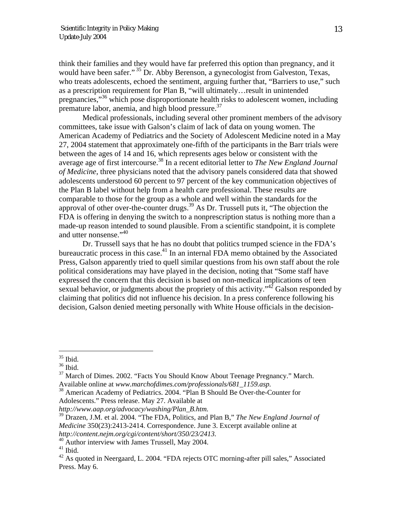think their families and they would have far preferred this option than pregnancy, and it would have been safer."<sup>35</sup> Dr. Abby Berenson, a gynecologist from Galveston, Texas, who treats adolescents, echoed the sentiment, arguing further that, "Barriers to use," such as a prescription requirement for Plan B, "will ultimately…result in unintended pregnancies,"<sup>36</sup> which pose disproportionate health risks to adolescent women, including premature labor, anemia, and high blood pressure.<sup>37</sup>

Medical professionals, including several other prominent members of the advisory committees, take issue with Galson's claim of lack of data on young women. The American Academy of Pediatrics and the Society of Adolescent Medicine noted in a May 27, 2004 statement that approximately one-fifth of the participants in the Barr trials were between the ages of 14 and 16, which represents ages below or consistent with the average age of first intercourse.[38 I](#page-12-3)n a recent editorial letter to *The New England Journal of Medicine*, three physicians noted that the advisory panels considered data that showed adolescents understood 60 percent to 97 percent of the key communication objectives of the Plan B label without help from a health care professional. These results are comparable to those for the group as a whole and well within the standards for the approval of other over-the-counter drugs.<sup>39</sup> As Dr. Trussell puts it, "The objection the FDA is offering in denying the switch to a nonprescription status is nothing more than a made-up reason intended to sound plausible. From a scientific standpoint, it is complete and utter nonsense."<sup>[40](#page-12-5)</sup>

Dr. Trussell says that he has no doubt that politics trumped science in the FDA's bureaucratic process in this case.<sup>41</sup> In an internal FDA memo obtained by the Associated Press, Galson apparently tried to quell similar questions from his own staff about the role political considerations may have played in the decision, noting that "Some staff have expressed the concern that this decision is based on non-medical implications of teen sexual behavior, or judgments about the propriety of this activity.<sup> $3\frac{1}{2}$ </sup> Galson responded by claiming that politics did not influence his decision. In a press conference following his decision, Galson denied meeting personally with White House officials in the decision-

l

*http://www.aap.org/advocacy/washing/Plan\_B.htm.* 

<span id="page-12-0"></span><sup>35</sup> Ibid.

<span id="page-12-1"></span><sup>36</sup> Ibid.

<span id="page-12-2"></span> $37$  March of Dimes. 2002. "Facts You Should Know About Teenage Pregnancy." March. Available online at *www.marchofdimes.com/professionals/681\_1159.asp.*

<span id="page-12-3"></span><sup>38</sup> American Academy of Pediatrics. 2004. "Plan B Should Be Over-the-Counter for Adolescents." Press release. May 27. Available at

<span id="page-12-4"></span><sup>39</sup> Drazen, J.M. et al. 2004. "The FDA, Politics, and Plan B," *The New England Journal of Medicine* 350(23):2413-2414. Correspondence. June 3. Excerpt available online at *http://content.nejm.org/cgi/content/short/350/23/2413.* 40 Author interview with James Trussell, May 2004.

<span id="page-12-5"></span>

<span id="page-12-6"></span> $^{41}$  Ibid.

<span id="page-12-7"></span><sup>&</sup>lt;sup>42</sup> As quoted in Neergaard, L. 2004. "FDA rejects OTC morning-after pill sales," Associated Press. May 6.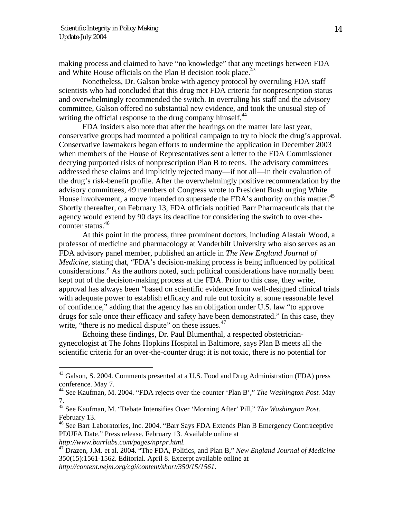l

making process and claimed to have "no knowledge" that any meetings between FDA and White House officials on the Plan B decision took place.<sup>43</sup>

Nonetheless, Dr. Galson broke with agency protocol by overruling FDA staff scientists who had concluded that this drug met FDA criteria for nonprescription status and overwhelmingly recommended the switch. In overruling his staff and the advisory committee, Galson offered no substantial new evidence, and took the unusual step of writing the official response to the drug company himself. $44$ 

FDA insiders also note that after the hearings on the matter late last year, conservative groups had mounted a political campaign to try to block the drug's approval. Conservative lawmakers began efforts to undermine the application in December 2003 when members of the House of Representatives sent a letter to the FDA Commissioner decrying purported risks of nonprescription Plan B to teens. The advisory committees addressed these claims and implicitly rejected many—if not all—in their evaluation of the drug's risk-benefit profile. After the overwhelmingly positive recommendation by the advisory committees, 49 members of Congress wrote to President Bush urging White House involvement, a move intended to supersede the FDA's authority on this matter.<sup>45</sup> Shortly thereafter, on February 13, FDA officials notified Barr Pharmaceuticals that the agency would extend by 90 days its deadline for considering the switch to over-thecounter status[.46](#page-13-3) 

At this point in the process, three prominent doctors, including Alastair Wood, a professor of medicine and pharmacology at Vanderbilt University who also serves as an FDA advisory panel member, published an article in *The New England Journal of Medicine,* stating that, "FDA's decision-making process is being influenced by political considerations." As the authors noted, such political considerations have normally been kept out of the decision-making process at the FDA. Prior to this case, they write, approval has always been "based on scientific evidence from well-designed clinical trials with adequate power to establish efficacy and rule out toxicity at some reasonable level of confidence," adding that the agency has an obligation under U.S. law "to approve drugs for sale once their efficacy and safety have been demonstrated." In this case, they write, "there is no medical dispute" on these issues. $47$ 

Echoing these findings, Dr. Paul Blumenthal, a respected obstetriciangynecologist at The Johns Hopkins Hospital in Baltimore, says Plan B meets all the scientific criteria for an over-the-counter drug: it is not toxic, there is no potential for

<span id="page-13-0"></span><sup>&</sup>lt;sup>43</sup> Galson, S. 2004. Comments presented at a U.S. Food and Drug Administration (FDA) press conference. May 7.

<span id="page-13-1"></span><sup>44</sup> See Kaufman, M. 2004. "FDA rejects over-the-counter 'Plan B'," *The Washington Post.* May 7.

<span id="page-13-2"></span><sup>45</sup> See Kaufman, M. "Debate Intensifies Over 'Morning After' Pill," *The Washington Post.*  February 13.

<span id="page-13-3"></span><sup>&</sup>lt;sup>46</sup> See Barr Laboratories, Inc. 2004. "Barr Says FDA Extends Plan B Emergency Contraceptive PDUFA Date." Press release. February 13. Available online at *http://www.barrlabs.com/pages/nprpr.html.*

<span id="page-13-4"></span><sup>47</sup> Drazen, J.M. et al. 2004. "The FDA, Politics, and Plan B," *New England Journal of Medicine*  350(15):1561-1562*.* Editorial. April 8. Excerpt available online at *http://content.nejm.org/cgi/content/short/350/15/1561.*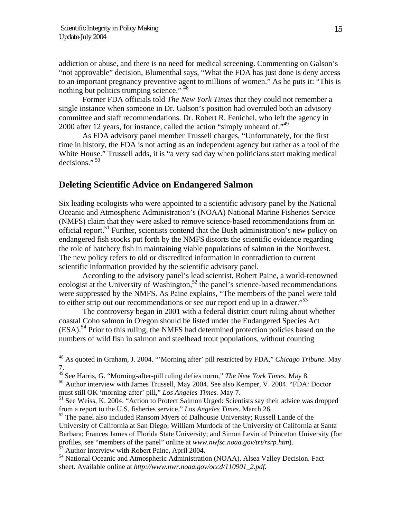l

addiction or abuse, and there is no need for medical screening. Commenting on Galson's "not approvable" decision, Blumenthal says, "What the FDA has just done is deny access to an important pregnancy preventive agent to millions of women." As he puts it: "This is nothing but politics trumping science."<sup>[48](#page-14-0)</sup>

Former FDA officials told *The New York Times* that they could not remember a single instance when someone in Dr. Galson's position had overruled both an advisory committee and staff recommendations. Dr. Robert R. Fenichel, who left the agency in 2000 after 12 years, for instance, called the action "simply unheard of."<sup>[49](#page-14-1)</sup>

As FDA advisory panel member Trussell charges, "Unfortunately, for the first time in history, the FDA is not acting as an independent agency but rather as a tool of the White House." Trussell adds, it is "a very sad day when politicians start making medical decisions." [50](#page-14-2)

### **Deleting Scientific Advice on Endangered Salmon**

Six leading ecologists who were appointed to a scientific advisory panel by the National Oceanic and Atmospheric Administration's (NOAA) National Marine Fisheries Service (NMFS) claim that they were asked to remove science-based recommendations from an official report.<sup>51</sup> Further, scientists contend that the Bush administration's new policy on endangered fish stocks put forth by the NMFS distorts the scientific evidence regarding the role of hatchery fish in maintaining viable populations of salmon in the Northwest. The new policy refers to old or discredited information in contradiction to current scientific information provided by the scientific advisory panel.

According to the advisory panel's lead scientist, Robert Paine, a world-renowned ecologist at the University of Washington,<sup>52</sup> the panel's science-based recommendations were suppressed by the NMFS. As Paine explains, "The members of the panel were told to either strip out our recommendations or see our report end up in a drawer."<sup>53</sup>

The controversy began in 2001 with a federal district court ruling about whether coastal Coho salmon in Oregon should be listed under the Endangered Species Act  $(ESA)$ <sup>54</sup>. Prior to this ruling, the NMFS had determined protection policies based on the numbers of wild fish in salmon and steelhead trout populations, without counting

<span id="page-14-0"></span><sup>48</sup> As quoted in Graham, J. 2004. "'Morning after' pill restricted by FDA," *Chicago Tribune.* May 7.

<span id="page-14-1"></span><sup>49</sup> See Harris, G. "Morning-after-pill ruling defies norm," *The New York Times*. May 8.

<span id="page-14-2"></span><sup>&</sup>lt;sup>50</sup> Author interview with James Trussell, May 2004. See also Kemper, V. 2004. "FDA: Doctor must still OK 'morning-after' pill," *Los Angeles Times.* May 7.

<span id="page-14-3"></span><sup>51</sup> See Weiss, K. 2004. "Action to Protect Salmon Urged: Scientists say their advice was dropped from a report to the U.S. fisheries service," *Los Angeles Times*. March 26.

<span id="page-14-4"></span> $52$  The panel also included Ransom Myers of Dalhousie University; Russell Lande of the University of California at San Diego; William Murdock of the University of California at Santa Barbara; Frances James of Florida State University; and Simon Levin of Princeton University (for profiles, see "members of the panel" online at *www.nwfsc.noaa.gov/trt/rsrp.htm*). Author interview with Robert Paine, April 2004.

<span id="page-14-6"></span><span id="page-14-5"></span><sup>54</sup> National Oceanic and Atmospheric Administration (NOAA). Alsea Valley Decision. Fact sheet. Available online at *http://www.nwr.noaa.gov/occd/110901\_2.pdf.*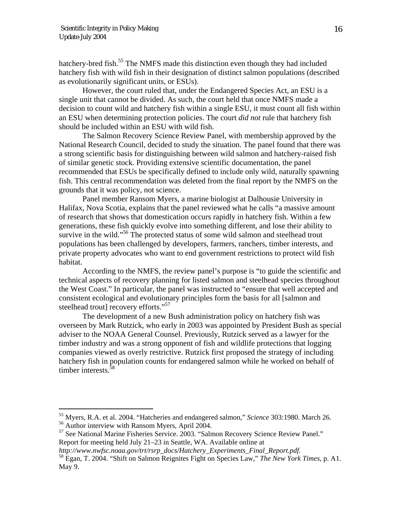hatchery-bred fish.<sup>55</sup> The NMFS made this distinction even though they had included hatchery fish with wild fish in their designation of distinct salmon populations (described as evolutionarily significant units, or ESUs).

However, the court ruled that, under the Endangered Species Act, an ESU is a single unit that cannot be divided. As such, the court held that once NMFS made a decision to count wild and hatchery fish within a single ESU, it must count all fish within an ESU when determining protection policies. The court *did not* rule that hatchery fish should be included within an ESU with wild fish.

The Salmon Recovery Science Review Panel, with membership approved by the National Research Council, decided to study the situation. The panel found that there was a strong scientific basis for distinguishing between wild salmon and hatchery-raised fish of similar genetic stock. Providing extensive scientific documentation, the panel recommended that ESUs be specifically defined to include only wild, naturally spawning fish. This central recommendation was deleted from the final report by the NMFS on the grounds that it was policy, not science.

Panel member Ransom Myers, a marine biologist at Dalhousie University in Halifax, Nova Scotia, explains that the panel reviewed what he calls "a massive amount of research that shows that domestication occurs rapidly in hatchery fish. Within a few generations, these fish quickly evolve into something different, and lose their ability to survive in the wild."<sup>56</sup> The protected status of some wild salmon and steelhead trout populations has been challenged by developers, farmers, ranchers, timber interests, and private property advocates who want to end government restrictions to protect wild fish habitat.

According to the NMFS, the review panel's purpose is "to guide the scientific and technical aspects of recovery planning for listed salmon and steelhead species throughout the West Coast." In particular, the panel was instructed to "ensure that well accepted and consistent ecological and evolutionary principles form the basis for all [salmon and steelhead trout] recovery efforts."<sup>57</sup>

The development of a new Bush administration policy on hatchery fish was overseen by Mark Rutzick, who early in 2003 was appointed by President Bush as special adviser to the NOAA General Counsel. Previously, Rutzick served as a lawyer for the timber industry and was a strong opponent of fish and wildlife protections that logging companies viewed as overly restrictive. Rutzick first proposed the strategy of including hatchery fish in population counts for endangered salmon while he worked on behalf of timber interests. $58$ 

-

<span id="page-15-2"></span><sup>57</sup> See National Marine Fisheries Service. 2003. "Salmon Recovery Science Review Panel." Report for meeting held July 21–23 in Seattle, WA. Available online at

<span id="page-15-0"></span><sup>55</sup> Myers, R.A. et al. 2004. "Hatcheries and endangered salmon," *Science* 303:1980. March 26.

<span id="page-15-1"></span><sup>56</sup> Author interview with Ransom Myers, April 2004.

<span id="page-15-3"></span>

*http://www.nwfsc.noaa.gov/trt/rsrp\_docs/Hatchery\_Experiments\_Final\_Report.pdf.* 58 Egan, T. 2004. "Shift on Salmon Reignites Fight on Species Law," *The New York Times,* p. A1. May 9.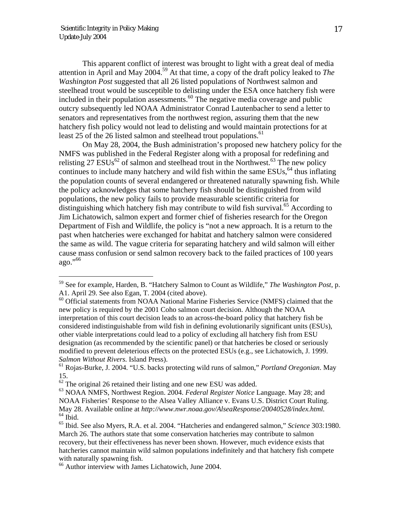l

This apparent conflict of interest was brought to light with a great deal of media attention in April and May 2004.[59](#page-16-0) At that time, a copy of the draft policy leaked to *The Washington Post* suggested that all 26 listed populations of Northwest salmon and steelhead trout would be susceptible to delisting under the ESA once hatchery fish were included in their population assessments.<sup>60</sup> The negative media coverage and public outcry subsequently led NOAA Administrator Conrad Lautenbacher to send a letter to senators and representatives from the northwest region, assuring them that the new hatchery fish policy would not lead to delisting and would maintain protections for at least 25 of the 26 listed salmon and steelhead trout populations.<sup>61</sup>

On May 28, 2004, the Bush administration's proposed new hatchery policy for the NMFS was published in the Federal Register along with a proposal for redefining and relisting  $27$  ESUs<sup>62</sup> of salmon and steelhead trout in the Northwest.<sup>63</sup> The new policy continues to include many hatchery and wild fish within the same  $ESUs<sub>64</sub>$  thus inflating the population counts of several endangered or threatened naturally spawning fish. While the policy acknowledges that some hatchery fish should be distinguished from wild populations, the new policy fails to provide measurable scientific criteria for distinguishing which hatchery fish may contribute to wild fish survival.<sup>65</sup> According to Jim Lichatowich, salmon expert and former chief of fisheries research for the Oregon Department of Fish and Wildlife, the policy is "not a new approach. It is a return to the past when hatcheries were exchanged for habitat and hatchery salmon were considered the same as wild. The vague criteria for separating hatchery and wild salmon will either cause mass confusion or send salmon recovery back to the failed practices of 100 years ago."[66](#page-16-7) 

<span id="page-16-0"></span><sup>59</sup> See for example, Harden, B. "Hatchery Salmon to Count as Wildlife," *The Washington Post*, p. A1. April 29. See also Egan, T. 2004 (cited above).

<span id="page-16-1"></span> $60$  Official statements from NOAA National Marine Fisheries Service (NMFS) claimed that the new policy is required by the 2001 Coho salmon court decision. Although the NOAA interpretation of this court decision leads to an across-the-board policy that hatchery fish be considered indistinguishable from wild fish in defining evolutionarily significant units (ESUs), other viable interpretations could lead to a policy of excluding all hatchery fish from ESU designation (as recommended by the scientific panel) or that hatcheries be closed or seriously modified to prevent deleterious effects on the protected ESUs (e.g., see Lichatowich, J. 1999. *Salmon Without Rivers.* Island Press).

<span id="page-16-2"></span><sup>61</sup> Rojas-Burke, J. 2004. "U.S. backs protecting wild runs of salmon," *Portland Oregonian*. May 15.

<span id="page-16-3"></span> $62$  The original 26 retained their listing and one new ESU was added.

<span id="page-16-4"></span><sup>63</sup> NOAA NMFS, Northwest Region. 2004. *Federal Register Notice* Language. May 28; and NOAA Fisheries' Response to the Alsea Valley Alliance v. Evans U.S. District Court Ruling. May 28. Available online at *http://www.nwr.noaa.gov/AlseaResponse/20040528/index.html.*  $64$  Ibid.

<span id="page-16-6"></span><span id="page-16-5"></span><sup>65</sup> Ibid. See also Myers, R.A. et al. 2004. "Hatcheries and endangered salmon," *Science* 303:1980. March 26. The authors state that some conservation hatcheries may contribute to salmon recovery, but their effectiveness has never been shown. However, much evidence exists that hatcheries cannot maintain wild salmon populations indefinitely and that hatchery fish compete with naturally spawning fish.

<span id="page-16-7"></span><sup>66</sup> Author interview with James Lichatowich, June 2004.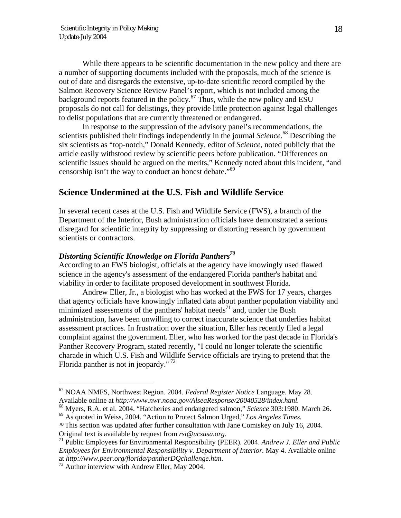While there appears to be scientific documentation in the new policy and there are a number of supporting documents included with the proposals, much of the science is out of date and disregards the extensive, up-to-date scientific record compiled by the Salmon Recovery Science Review Panel's report, which is not included among the background reports featured in the policy.<sup>67</sup> Thus, while the new policy and ESU proposals do not call for delistings, they provide little protection against legal challenges to delist populations that are currently threatened or endangered.

In response to the suppression of the advisory panel's recommendations, the scientists published their findings independently in the journal *Science*. [68 D](#page-17-1)escribing the six scientists as "top-notch," Donald Kennedy, editor of *Science,* noted publicly that the article easily withstood review by scientific peers before publication. "Differences on scientific issues should be argued on the merits," Kennedy noted about this incident, "and censorship isn't the way to conduct an honest debate."<sup>69</sup>

### **Science Undermined at the U.S. Fish and Wildlife Service**

In several recent cases at the U.S. Fish and Wildlife Service (FWS), a branch of the Department of the Interior, Bush administration officials have demonstrated a serious disregard for scientific integrity by suppressing or distorting research by government scientists or contractors.

### *Distorting Scientific Knowledge on Florida Panther[s70](#page-17-3)*

According to an FWS biologist, officials at the agency have knowingly used flawed science in the agency's assessment of the endangered Florida panther's habitat and viability in order to facilitate proposed development in southwest Florida.

Andrew Eller, Jr., a biologist who has worked at the FWS for 17 years, charges that agency officials have knowingly inflated data about panther population viability and minimized assessments of the panthers' habitat needs<sup>71</sup> and, under the Bush administration, have been unwilling to correct inaccurate science that underlies habitat assessment practices. In frustration over the situation, Eller has recently filed a legal complaint against the government. Eller, who has worked for the past decade in Florida's Panther Recovery Program, stated recently, "I could no longer tolerate the scientific charade in which U.S. Fish and Wildlife Service officials are trying to pretend that the Florida panther is not in jeopardy."  $^{72}$ 

<span id="page-17-0"></span><sup>67</sup> NOAA NMFS, Northwest Region. 2004. *Federal Register Notice* Language. May 28. Available online at *http://www.nwr.noaa.gov/AlseaResponse/20040528/index.html.*

<span id="page-17-1"></span><sup>68</sup> Myers, R.A. et al. 2004. "Hatcheries and endangered salmon," *Science* 303:1980. March 26.

<span id="page-17-2"></span><sup>69</sup> As quoted in Weiss, 2004. "Action to Protect Salmon Urged," *Los Angeles Times.* 

<span id="page-17-3"></span><sup>70</sup> This section was updated after further consultation with Jane Comiskey on July 16, 2004.

<span id="page-17-4"></span>Original text is available by request from *rsi@ucsusa.org*. 71 Public Employees for Environmental Responsibility (PEER). 2004. *Andrew J. Eller and Public Employees for Environmental Responsibility v. Department of Interior.* May 4. Available online at *http://www.peer.org/florida/pantherDQchallenge.htm*. 72 Author interview with Andrew Eller, May 2004.

<span id="page-17-5"></span>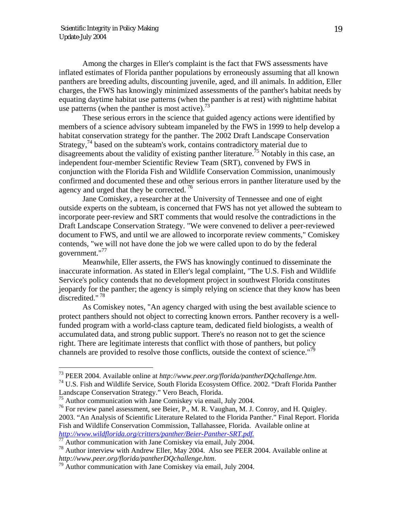Among the charges in Eller's complaint is the fact that FWS assessments have inflated estimates of Florida panther populations by erroneously assuming that all known panthers are breeding adults, discounting juvenile, aged, and ill animals. In addition, Eller charges, the FWS has knowingly minimized assessments of the panther's habitat needs by equating daytime habitat use patterns (when the panther is at rest) with nighttime habitat use patterns (when the panther is most active).<sup>[73](#page-18-0)</sup>

These serious errors in the science that guided agency actions were identified by members of a science advisory subteam impaneled by the FWS in 1999 to help develop a habitat conservation strategy for the panther. The 2002 Draft Landscape Conservation Strategy,  $^{74}$  based on the subteam's work, contains contradictory material due to disagreements about the validity of existing panther literature.<sup>75</sup> Notably in this case, an independent four-member Scientific Review Team (SRT), convened by FWS in conjunction with the Florida Fish and Wildlife Conservation Commission, unanimously confirmed and documented these and other serious errors in panther literature used by the agency and urged that they be corrected.<sup>[76](#page-18-3)</sup>

Jane Comiskey, a researcher at the University of Tennessee and one of eight outside experts on the subteam, is concerned that FWS has not yet allowed the subteam to incorporate peer-review and SRT comments that would resolve the contradictions in the Draft Landscape Conservation Strategy. "We were convened to deliver a peer-reviewed document to FWS, and until we are allowed to incorporate review comments," Comiskey contends, "we will not have done the job we were called upon to do by the federal government."[77](#page-18-4)

Meanwhile, Eller asserts, the FWS has knowingly continued to disseminate the inaccurate information. As stated in Eller's legal complaint, "The U.S. Fish and Wildlife Service's policy contends that no development project in southwest Florida constitutes jeopardy for the panther; the agency is simply relying on science that they know has been discredited."<sup>78</sup>

As Comiskey notes, "An agency charged with using the best available science to protect panthers should not object to correcting known errors. Panther recovery is a wellfunded program with a world-class capture team, dedicated field biologists, a wealth of accumulated data, and strong public support. There's no reason not to get the science right. There are legitimate interests that conflict with those of panthers, but policy channels are provided to resolve those conflicts, outside the context of science."<sup>[79](#page-18-6)</sup>

<span id="page-18-0"></span> $^{73}$  PEER 2004. Available online at http://www.peer.org/florida/pantherDQchallenge.htm.

<span id="page-18-1"></span><sup>&</sup>lt;sup>74</sup> U.S. Fish and Wildlife Service, South Florida Ecosystem Office. 2002. "Draft Florida Panther Landscape Conservation Strategy." Vero Beach, Florida.

<span id="page-18-2"></span><sup>&</sup>lt;sup>75</sup> Author communication with Jane Comiskey via email, July 2004.

<span id="page-18-3"></span><sup>&</sup>lt;sup>76</sup> For review panel assessment, see Beier, P., M. R. Vaughan, M. J. Conroy, and H. Quigley. 2003. "An Analysis of Scientific Literature Related to the Florida Panther." Final Report. Florida Fish and Wildlife Conservation Commission, Tallahassee, Florida. Available online at *<http://www.wildflorida.org/critters/panther/Beier-Panther-SRT.pdf.>*

<span id="page-18-4"></span>Author communication with Jane Comiskey via email, July 2004.

<span id="page-18-5"></span><sup>78</sup> Author interview with Andrew Eller, May 2004. Also see PEER 2004. Available online at *http://www.peer.org/florida/pantherDQchallenge.htm*. 79 Author communication with Jane Comiskey via email, July 2004.

<span id="page-18-6"></span>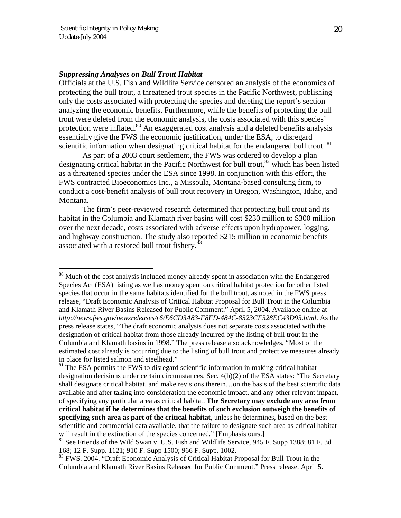l

### <span id="page-19-3"></span>*Suppressing Analyses on Bull Trout Habitat*

Officials at the U.S. Fish and Wildlife Service censored an analysis of the economics of protecting the bull trout, a threatened trout species in the Pacific Northwest, publishing only the costs associated with protecting the species and deleting the report's section analyzing the economic benefits. Furthermore, while the benefits of protecting the bull trout were deleted from the economic analysis, the costs associated with this species' protection were inflated.<sup>80</sup> An exaggerated cost analysis and a deleted benefits analysis essentially give the FWS the economic justification, under the ESA, to disregard scientific information when designating critical habitat for the endangered bull trout. <sup>81</sup>

As part of a 2003 court settlement, the FWS was ordered to develop a plan designating critical habitat in the Pacific Northwest for bull trout,  $82$  which has been listed as a threatened species under the ESA since 1998. In conjunction with this effort, the FWS contracted Bioeconomics Inc., a Missoula, Montana-based consulting firm, to conduct a cost-benefit analysis of bull trout recovery in Oregon, Washington, Idaho, and Montana.

The firm's peer-reviewed research determined that protecting bull trout and its habitat in the Columbia and Klamath river basins will cost \$230 million to \$300 million over the next decade, costs associated with adverse effects upon hydropower, logging, and highway construction. The study also reported \$215 million in economic benefits associated with a restored bull trout fishery.<sup>83</sup>

<span id="page-19-0"></span><sup>&</sup>lt;sup>80</sup> Much of the cost analysis included money already spent in association with the Endangered Species Act (ESA) listing as well as money spent on critical habitat protection for other listed species that occur in the same habitats identified for the bull trout, as noted in the FWS press release, "Draft Economic Analysis of Critical Habitat Proposal for Bull Trout in the Columbia and Klamath River Basins Released for Public Comment," April 5, 2004. Available online at *http://news.fws.gov/newsreleases/r6/E6CD3A83-F8FD-484C-8523CF328EC43D93.html*. As the press release states, "The draft economic analysis does not separate costs associated with the designation of critical habitat from those already incurred by the listing of bull trout in the Columbia and Klamath basins in 1998." The press release also acknowledges, "Most of the estimated cost already is occurring due to the listing of bull trout and protective measures already in place for listed salmon and steelhead."

<span id="page-19-1"></span> $81$ <sup>81</sup> The ESA permits the FWS to disregard scientific information in making critical habitat designation decisions under certain circumstances. Sec. 4(b)(2) of the ESA states: "The Secretary shall designate critical habitat, and make revisions therein…on the basis of the best scientific data available and after taking into consideration the economic impact, and any other relevant impact, of specifying any particular area as critical habitat. **The Secretary may exclude any area from critical habitat if he determines that the benefits of such exclusion outweigh the benefits of specifying such area as part of the critical habitat**, unless he determines, based on the best scientific and commercial data available, that the failure to designate such area as critical habitat will result in the extinction of the species concerned." [Emphasis ours.]

<span id="page-19-2"></span><sup>&</sup>lt;sup>82</sup> See Friends of the Wild Swan v. U.S. Fish and Wildlife Service, 945 F. Supp 1388; 81 F. 3d 168; 12 F. Supp. 1121; 910 F. Supp 1500; 966 F. Supp. 1002.

<sup>&</sup>lt;sup>83</sup> FWS. 2004. "Draft Economic Analysis of Critical Habitat Proposal for Bull Trout in the Columbia and Klamath River Basins Released for Public Comment." Press release. April 5.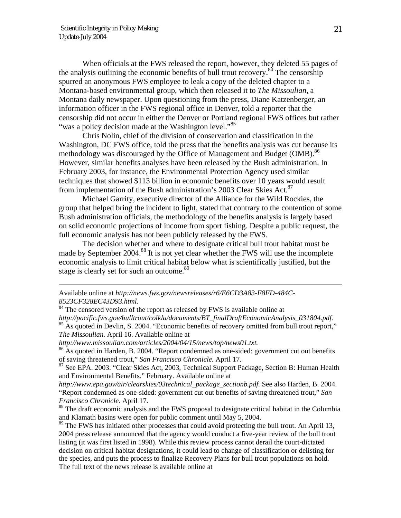l

<span id="page-20-5"></span>When officials at the FWS released the report, however, they deleted 55 pages of the analysis outlining the economic benefits of bull trout recovery.<sup>84</sup> The censorship spurred an anonymous FWS employee to leak a copy of the deleted chapter to a Montana-based environmental group, which then released it to *The Missoulian*, a Montana daily newspaper. Upon questioning from the press, Diane Katzenberger, an information officer in the FWS regional office in Denver, told a reporter that the censorship did not occur in either the Denver or Portland regional FWS offices but rather "was a policy decision made at the Washington level."<sup>85</sup>

Chris Nolin, chief of the division of conservation and classification in the Washington, DC FWS office, told the press that the benefits analysis was cut because its methodology was discouraged by the Office of Management and Budget (OMB).<sup>[86](#page-20-2)</sup> However, similar benefits analyses have been released by the Bush administration. In February 2003, for instance, the Environmental Protection Agency used similar techniques that showed \$113 billion in economic benefits over 10 years would result from implementation of the Bush administration's 2003 Clear Skies Act.<sup>87</sup>

Michael Garrity, executive director of the Alliance for the Wild Rockies, the group that helped bring the incident to light, stated that contrary to the contention of some Bush administration officials, the methodology of the benefits analysis is largely based on solid economic projections of income from sport fishing. Despite a public request, the full economic analysis has not been publicly released by the FWS.

The decision whether and where to designate critical bull trout habitat must be made by September 2004.<sup>88</sup> It is not yet clear whether the FWS will use the incomplete economic analysis to limit critical habitat below what is scientifically justified, but the stage is clearly set for such an outcome.<sup>89</sup>

Available online at *http://news.fws.gov/newsreleases/r6/E6CD3A83-F8FD-484C-8523CF328EC43D93.html.* 84 The censored version of the report as released by FWS is available online at

<span id="page-20-0"></span>

<span id="page-20-1"></span>

*http://pacific.fws.gov/bulltrout/colkla/documents/BT\_finalDraftEconomicAnalysis\_031804.pdf.* <sup>85</sup> As quoted in Devlin, S. 2004. "Economic benefits of recovery omitted from bull trout report," *The Missoulian.* April 16. Available online at

<span id="page-20-2"></span><sup>&</sup>lt;sup>86</sup> As quoted in Harden, B. 2004. "Report condemned as one-sided: government cut out benefits of saving threatened trout," *San Francisco Chronicle.* April 17.

<span id="page-20-3"></span><sup>&</sup>lt;sup>87</sup> See EPA. 2003. "Clear Skies Act, 2003, Technical Support Package, Section B: Human Health and Environmental Benefits." February. Available online at

*http://www.epa.gov/air/clearskies/03technical\_package\_sectionb.pdf.* See also Harden, B. 2004. "Report condemned as one-sided: government cut out benefits of saving threatened trout," *San Francisco Chronicle.* April 17.

<span id="page-20-4"></span><sup>&</sup>lt;sup>88</sup> The draft economic analysis and the FWS proposal to designate critical habitat in the Columbia and Klamath basins were open for public comment until May 5, 2004.

 $89$  The FWS has initiated other processes that could avoid protecting the bull trout. An April 13, 2004 press release announced that the agency would conduct a five-year review of the bull trout listing (it was first listed in 1998). While this review process cannot derail the court-dictated decision on critical habitat designations, it could lead to change of classification or delisting for the species, and puts the process to finalize Recovery Plans for bull trout populations on hold. The full text of the news release is available online at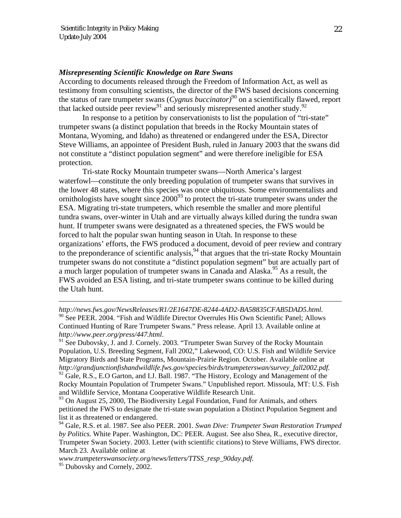### *Misrepresenting Scientific Knowledge on Rare Swans*

According to documents released through the Freedom of Information Act, as well as testimony from consulting scientists, the director of the FWS based decisions concerning the status of rare trumpeter swans (*Cygnus buccinator)*[90](#page-21-0) on a scientifically flawed, report that lacked outside peer review<sup>91</sup> and seriously misrepresented another study.<sup>92</sup>

In response to a petition by conservationists to list the population of "tri-state" trumpeter swans (a distinct population that breeds in the Rocky Mountain states of Montana, Wyoming, and Idaho) as threatened or endangered under the ESA, Director Steve Williams, an appointee of President Bush, ruled in January 2003 that the swans did not constitute a "distinct population segment" and were therefore ineligible for ESA protection.

Tri-state Rocky Mountain trumpeter swans—North America's largest waterfowl—constitute the only breeding population of trumpeter swans that survives in the lower 48 states, where this species was once ubiquitous. Some environmentalists and ornithologists have sought since  $2000^{93}$  to protect the tri-state trumpeter swans under the ESA. Migrating tri-state trumpeters, which resemble the smaller and more plentiful tundra swans, over-winter in Utah and are virtually always killed during the tundra swan hunt. If trumpeter swans were designated as a threatened species, the FWS would be forced to halt the popular swan hunting season in Utah. In response to these organizations' efforts, the FWS produced a document, devoid of peer review and contrary to the preponderance of scientific analysis,  $94$  that argues that the tri-state Rocky Mountain trumpeter swans do not constitute a "distinct population segment" but are actually part of a much larger population of trumpeter swans in Canada and Alaska.<sup>95</sup> As a result, the FWS avoided an ESA listing, and tri-state trumpeter swans continue to be killed during the Utah hunt.

<span id="page-21-1"></span>*http://www.peer.org/press/447.html.* 91 See Dubovsky, J. and J. Cornely. 2003. "Trumpeter Swan Survey of the Rocky Mountain Population, U.S. Breeding Segment, Fall 2002," Lakewood, CO: U.S. Fish and Wildlife Service Migratory Birds and State Programs, Mountain-Prairie Region. October. Available online at *http://grandjunctionfishandwildlife.fws.gov/species/birds/trumpeterswan/survey\_fall2002.pdf.* 92 Gale, R.S., E.O Garton, and I.J. Ball. 1987. "The History, Ecology and Management of the Rocky Mountain Population of Trumpeter Swans." Unpublished report. Missoula, MT: U.S. Fish and Wildlife Service, Montana Cooperative Wildlife Research Unit.

 $\overline{a}$ 

<span id="page-21-0"></span>*http://news.fws.gov/NewsReleases/R1/2E1647DE-8244-4AD2-BA58835CFAB5DAD5.html.*  <sup>90</sup> See PEER. 2004. "Fish and Wildlife Director Overrules His Own Scientific Panel; Allows Continued Hunting of Rare Trumpeter Swans." Press release. April 13. Available online at

<span id="page-21-3"></span><span id="page-21-2"></span><sup>&</sup>lt;sup>93</sup> On August 25, 2000, The Biodiversity Legal Foundation, Fund for Animals, and others petitioned the FWS to designate the tri-state swan population a Distinct Population Segment and list it as threatened or endangered.

<span id="page-21-4"></span><sup>94</sup> Gale, R.S. et al. 1987. See also PEER. 2001. *Swan Dive: Trumpeter Swan Restoration Trumped by Politics.* White Paper. Washington, DC: PEER. August. See also Shea, R., executive director, Trumpeter Swan Society. 2003. Letter (with scientific citations) to Steve Williams, FWS director. March 23. Available online at

*www.trumpeterswansociety.org/news/letters/TTSS\_resp\_90day.pdf.* 95 Dubovsky and Cornely, 2002.

<span id="page-21-5"></span>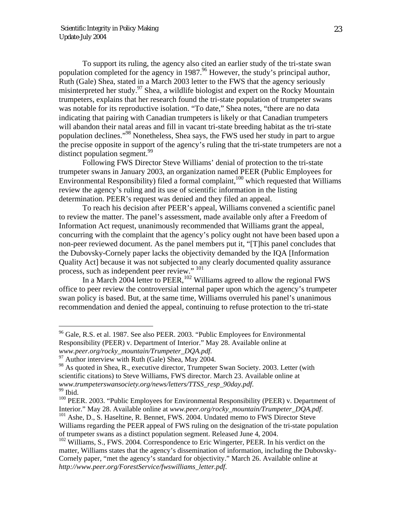To support its ruling, the agency also cited an earlier study of the tri-state swan population completed for the agency in 1987.<sup>96</sup> However, the study's principal author, Ruth (Gale) Shea, stated in a March 2003 letter to the FWS that the agency seriously misinterpreted her study.<sup>97</sup> Shea, a wildlife biologist and expert on the Rocky Mountain trumpeters, explains that her research found the tri-state population of trumpeter swans was notable for its reproductive isolation. "To date," Shea notes, "there are no data indicating that pairing with Canadian trumpeters is likely or that Canadian trumpeters will abandon their natal areas and fill in vacant tri-state breeding habitat as the tri-state population declines.["98 N](#page-22-2)onetheless, Shea says, the FWS used her study in part to argue the precise opposite in support of the agency's ruling that the tri-state trumpeters are not a distinct population segment.<sup>99</sup>

Following FWS Director Steve Williams' denial of protection to the tri-state trumpeter swans in January 2003, an organization named PEER (Public Employees for Environmental Responsibility) filed a formal complaint, $100$  which requested that Williams review the agency's ruling and its use of scientific information in the listing determination. PEER's request was denied and they filed an appeal.

To reach his decision after PEER's appeal, Williams convened a scientific panel to review the matter. The panel's assessment, made available only after a Freedom of Information Act request, unanimously recommended that Williams grant the appeal, concurring with the complaint that the agency's policy ought not have been based upon a non-peer reviewed document. As the panel members put it, "[T]his panel concludes that the Dubovsky-Cornely paper lacks the objectivity demanded by the IQA [Information Quality Act] because it was not subjected to any clearly documented quality assurance process, such as independent peer review." [101](#page-22-5) 

In a March 2004 letter to PEER,  $102$  Williams agreed to allow the regional FWS office to peer review the controversial internal paper upon which the agency's trumpeter swan policy is based. But, at the same time, Williams overruled his panel's unanimous recommendation and denied the appeal, continuing to refuse protection to the tri-state

<span id="page-22-0"></span> $96$  Gale, R.S. et al. 1987. See also PEER. 2003. "Public Employees for Environmental Responsibility (PEER) v. Department of Interior." May 28. Available online at *www.peer.org/rocky\_mountain/Trumpeter\_DQA.pdf.*

<span id="page-22-1"></span> $97$  Author interview with Ruth (Gale) Shea, May 2004.

<span id="page-22-2"></span><sup>&</sup>lt;sup>98</sup> As quoted in Shea, R., executive director, Trumpeter Swan Society. 2003. Letter (with scientific citations) to Steve Williams, FWS director. March 23. Available online at *www.trumpeterswansociety.org/news/letters/TTSS\_resp\_90day.pdf*. 99 Ibid.

<span id="page-22-5"></span><span id="page-22-4"></span><span id="page-22-3"></span><sup>&</sup>lt;sup>100</sup> PEER. 2003. "Public Employees for Environmental Responsibility (PEER) v. Department of Interior." May 28. Available online at *www.peer.org/rocky\_mountain/Trumpeter\_DQA.pdf*. 101 Ashe, D., S. Haseltine, R. Bennet, FWS. 2004. Undated memo to FWS Director Steve Williams regarding the PEER appeal of FWS ruling on the designation of the tri-state population of trumpeter swans as a distinct population segment. Released June 4, 2004.

<span id="page-22-6"></span><sup>&</sup>lt;sup>102</sup> Williams, S., FWS. 2004. Correspondence to Eric Wingerter, PEER. In his verdict on the matter, Williams states that the agency's dissemination of information, including the Dubovsky-Cornely paper, "met the agency's standard for objectivity." March 26. Available online at *http://www.peer.org/ForestService/fwswilliams\_letter.pdf*.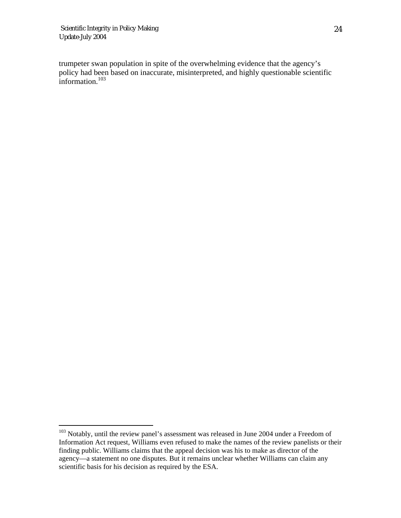-

trumpeter swan population in spite of the overwhelming evidence that the agency's policy had been based on inaccurate, misinterpreted, and highly questionable scientific information. $103$ 

<span id="page-23-0"></span><sup>&</sup>lt;sup>103</sup> Notably, until the review panel's assessment was released in June 2004 under a Freedom of Information Act request, Williams even refused to make the names of the review panelists or their finding public. Williams claims that the appeal decision was his to make as director of the agency—a statement no one disputes. But it remains unclear whether Williams can claim any scientific basis for his decision as required by the ESA.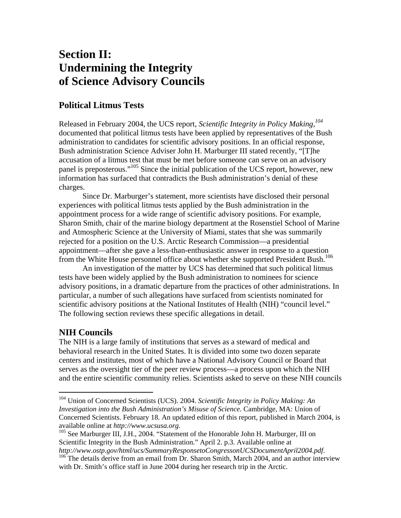# **Section II: Undermining the Integrity of Science Advisory Councils**

## **Political Litmus Tests**

Released in February 2004, the UCS report, *Scientific Integrity in Policy Making,[104](#page-24-0)* documented that political litmus tests have been applied by representatives of the Bush administration to candidates for scientific advisory positions. In an official response, Bush administration Science Adviser John H. Marburger III stated recently, "[T]he accusation of a litmus test that must be met before someone can serve on an advisory panel is preposterous."<sup>105</sup> Since the initial publication of the UCS report, however, new information has surfaced that contradicts the Bush administration's denial of these charges.

Since Dr. Marburger's statement, more scientists have disclosed their personal experiences with political litmus tests applied by the Bush administration in the appointment process for a wide range of scientific advisory positions. For example, Sharon Smith, chair of the marine biology department at the Rosenstiel School of Marine and Atmospheric Science at the University of Miami, states that she was summarily rejected for a position on the U.S. Arctic Research Commission—a presidential appointment—after she gave a less-than-enthusiastic answer in response to a question from the White House personnel office about whether she supported President Bush.<sup>106</sup>

An investigation of the matter by UCS has determined that such political litmus tests have been widely applied by the Bush administration to nominees for science advisory positions, in a dramatic departure from the practices of other administrations. In particular, a number of such allegations have surfaced from scientists nominated for scientific advisory positions at the National Institutes of Health (NIH) "council level." The following section reviews these specific allegations in detail.

## **NIH Councils**

-

The NIH is a large family of institutions that serves as a steward of medical and behavioral research in the United States. It is divided into some two dozen separate centers and institutes, most of which have a National Advisory Council or Board that serves as the oversight tier of the peer review process—a process upon which the NIH and the entire scientific community relies. Scientists asked to serve on these NIH councils

<span id="page-24-0"></span><sup>104</sup> Union of Concerned Scientists (UCS). 2004. *Scientific Integrity in Policy Making: An Investigation into the Bush Administration's Misuse of Science.* Cambridge, MA: Union of Concerned Scientists. February 18. An updated edition of this report, published in March 2004, is available online at *http://www.ucsusa.org.* 

<span id="page-24-1"></span><sup>&</sup>lt;sup>105</sup> See Marburger III, J.H., 2004. "Statement of the Honorable John H. Marburger, III on Scientific Integrity in the Bush Administration." April 2. p.3. Available online at

<span id="page-24-2"></span>*http://www.ostp.gov/html/ucs/SummaryResponsetoCongressonUCSDocumentApril2004.pdf*. 106 The details derive from an email from Dr. Sharon Smith, March 2004, and an author interview with Dr. Smith's office staff in June 2004 during her research trip in the Arctic.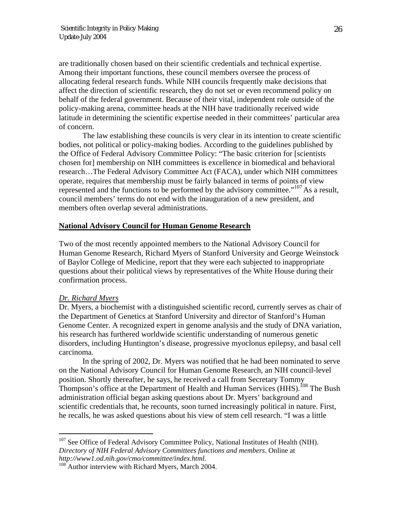are traditionally chosen based on their scientific credentials and technical expertise. Among their important functions, these council members oversee the process of allocating federal research funds. While NIH councils frequently make decisions that affect the direction of scientific research, they do not set or even recommend policy on behalf of the federal government. Because of their vital, independent role outside of the policy-making arena, committee heads at the NIH have traditionally received wide latitude in determining the scientific expertise needed in their committees' particular area of concern.

The law establishing these councils is very clear in its intention to create scientific bodies, not political or policy-making bodies. According to the guidelines published by the Office of Federal Advisory Committee Policy: "The basic criterion for [scientists chosen for] membership on NIH committees is excellence in biomedical and behavioral research…The Federal Advisory Committee Act (FACA), under which NIH committees operate, requires that membership must be fairly balanced in terms of points of view represented and the functions to be performed by the advisory committee." $107$ As a result, council members' terms do not end with the inauguration of a new president, and members often overlap several administrations.

### **National Advisory Council for Human Genome Research**

Two of the most recently appointed members to the National Advisory Council for Human Genome Research, Richard Myers of Stanford University and George Weinstock of Baylor College of Medicine, report that they were each subjected to inappropriate questions about their political views by representatives of the White House during their confirmation process.

### *Dr. Richard Myers*

 $\overline{a}$ 

Dr. Myers, a biochemist with a distinguished scientific record, currently serves as chair of the Department of Genetics at Stanford University and director of Stanford's Human Genome Center. A recognized expert in genome analysis and the study of DNA variation, his research has furthered worldwide scientific understanding of numerous genetic disorders, including Huntington's disease, progressive myoclonus epilepsy, and basal cell carcinoma.

In the spring of 2002, Dr. Myers was notified that he had been nominated to serve on the National Advisory Council for Human Genome Research, an NIH council-level position. Shortly thereafter, he says, he received a call from Secretary Tommy Thompson's office at the Department of Health and Human Services (HHS).<sup>108</sup> The Bush administration official began asking questions about Dr. Myers' background and scientific credentials that, he recounts, soon turned increasingly political in nature. First, he recalls, he was asked questions about his view of stem cell research. "I was a little

<span id="page-25-0"></span><sup>&</sup>lt;sup>107</sup> See Office of Federal Advisory Committee Policy, National Institutes of Health (NIH). *Directory of NIH Federal Advisory Committees functions and members*. Online at *http://www1.od.nih.gov/cmo/committee/index.html.*

<span id="page-25-1"></span><sup>&</sup>lt;sup>108</sup> Author interview with Richard Myers, March 2004.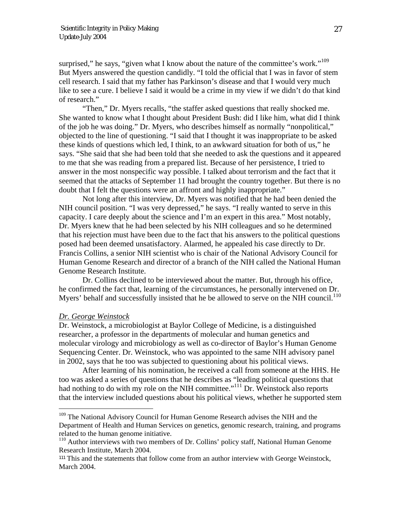surprised," he says, "given what I know about the nature of the committee's work."<sup>[109](#page-26-0)</sup> But Myers answered the question candidly. "I told the official that I was in favor of stem cell research. I said that my father has Parkinson's disease and that I would very much like to see a cure. I believe I said it would be a crime in my view if we didn't do that kind of research."

"Then," Dr. Myers recalls, "the staffer asked questions that really shocked me. She wanted to know what I thought about President Bush: did I like him, what did I think of the job he was doing." Dr. Myers, who describes himself as normally "nonpolitical," objected to the line of questioning. "I said that I thought it was inappropriate to be asked these kinds of questions which led, I think, to an awkward situation for both of us," he says. "She said that she had been told that she needed to ask the questions and it appeared to me that she was reading from a prepared list. Because of her persistence, I tried to answer in the most nonspecific way possible. I talked about terrorism and the fact that it seemed that the attacks of September 11 had brought the country together. But there is no doubt that I felt the questions were an affront and highly inappropriate."

Not long after this interview, Dr. Myers was notified that he had been denied the NIH council position. "I was very depressed," he says. "I really wanted to serve in this capacity. I care deeply about the science and I'm an expert in this area." Most notably, Dr. Myers knew that he had been selected by his NIH colleagues and so he determined that his rejection must have been due to the fact that his answers to the political questions posed had been deemed unsatisfactory. Alarmed, he appealed his case directly to Dr. Francis Collins, a senior NIH scientist who is chair of the National Advisory Council for Human Genome Research and director of a branch of the NIH called the National Human Genome Research Institute.

Dr. Collins declined to be interviewed about the matter. But, through his office, he confirmed the fact that, learning of the circumstances, he personally intervened on Dr. Myers' behalf and successfully insisted that he be allowed to serve on the NIH council.<sup>110</sup>

#### *Dr. George Weinstock*

 $\overline{a}$ 

Dr. Weinstock, a microbiologist at Baylor College of Medicine, is a distinguished researcher, a professor in the departments of molecular and human genetics and molecular virology and microbiology as well as co-director of Baylor's Human Genome Sequencing Center. Dr. Weinstock, who was appointed to the same NIH advisory panel in 2002, says that he too was subjected to questioning about his political views.

After learning of his nomination, he received a call from someone at the HHS. He too was asked a series of questions that he describes as "leading political questions that had nothing to do with my role on the NIH committee."<sup>111</sup> Dr. Weinstock also reports that the interview included questions about his political views, whether he supported stem

<span id="page-26-0"></span><sup>&</sup>lt;sup>109</sup> The National Advisory Council for Human Genome Research advises the NIH and the Department of Health and Human Services on genetics, genomic research, training, and programs related to the human genome initiative.

<span id="page-26-1"></span><sup>&</sup>lt;sup>110</sup> Author interviews with two members of Dr. Collins' policy staff, National Human Genome Research Institute, March 2004.

<span id="page-26-2"></span><sup>111</sup> This and the statements that follow come from an author interview with George Weinstock, March 2004.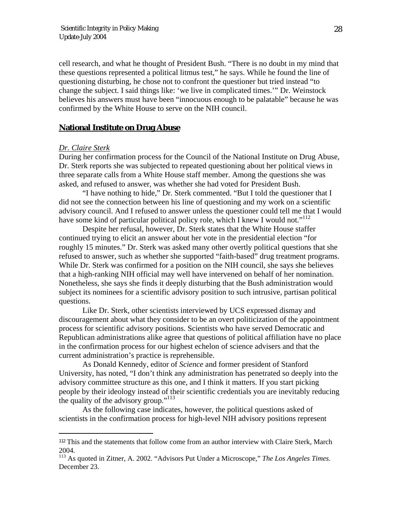cell research, and what he thought of President Bush. "There is no doubt in my mind that these questions represented a political litmus test," he says. While he found the line of questioning disturbing, he chose not to confront the questioner but tried instead "to change the subject. I said things like: 'we live in complicated times.'" Dr. Weinstock believes his answers must have been "innocuous enough to be palatable" because he was confirmed by the White House to serve on the NIH council.

### **National Institute on Drug Abuse**

### *Dr. Claire Sterk*

 $\overline{a}$ 

During her confirmation process for the Council of the National Institute on Drug Abuse, Dr. Sterk reports she was subjected to repeated questioning about her political views in three separate calls from a White House staff member. Among the questions she was asked, and refused to answer, was whether she had voted for President Bush.

"I have nothing to hide," Dr. Sterk commented. "But I told the questioner that I did not see the connection between his line of questioning and my work on a scientific advisory council. And I refused to answer unless the questioner could tell me that I would have some kind of particular political policy role, which I knew I would not."<sup>112</sup>

Despite her refusal, however, Dr. Sterk states that the White House staffer continued trying to elicit an answer about her vote in the presidential election "for roughly 15 minutes." Dr. Sterk was asked many other overtly political questions that she refused to answer, such as whether she supported "faith-based" drug treatment programs. While Dr. Sterk was confirmed for a position on the NIH council, she says she believes that a high-ranking NIH official may well have intervened on behalf of her nomination. Nonetheless, she says she finds it deeply disturbing that the Bush administration would subject its nominees for a scientific advisory position to such intrusive, partisan political questions.

Like Dr. Sterk, other scientists interviewed by UCS expressed dismay and discouragement about what they consider to be an overt politicization of the appointment process for scientific advisory positions. Scientists who have served Democratic and Republican administrations alike agree that questions of political affiliation have no place in the confirmation process for our highest echelon of science advisers and that the current administration's practice is reprehensible.

As Donald Kennedy, editor of *Science* and former president of Stanford University, has noted, "I don't think any administration has penetrated so deeply into the advisory committee structure as this one, and I think it matters. If you start picking people by their ideology instead of their scientific credentials you are inevitably reducing the quality of the advisory group."<sup>113</sup>

As the following case indicates, however, the political questions asked of scientists in the confirmation process for high-level NIH advisory positions represent

<span id="page-27-0"></span><sup>112</sup> This and the statements that follow come from an author interview with Claire Sterk, March

<span id="page-27-1"></span><sup>2004.</sup> 113 As quoted in Zitner, A. 2002. "Advisors Put Under a Microscope," *The Los Angeles Times.*  December 23.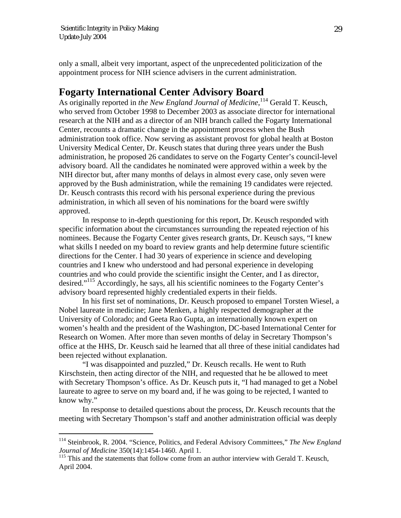$\overline{a}$ 

only a small, albeit very important, aspect of the unprecedented politicization of the appointment process for NIH science advisers in the current administration.

## **Fogarty International Center Advisory Board**

As originally reported in *the New England Journal of Medicine*, [114 G](#page-28-0)erald T. Keusch, who served from October 1998 to December 2003 as associate director for international research at the NIH and as a director of an NIH branch called the Fogarty International Center, recounts a dramatic change in the appointment process when the Bush administration took office. Now serving as assistant provost for global health at Boston University Medical Center, Dr. Keusch states that during three years under the Bush administration, he proposed 26 candidates to serve on the Fogarty Center's council-level advisory board. All the candidates he nominated were approved within a week by the NIH director but, after many months of delays in almost every case, only seven were approved by the Bush administration, while the remaining 19 candidates were rejected. Dr. Keusch contrasts this record with his personal experience during the previous administration, in which all seven of his nominations for the board were swiftly approved.

In response to in-depth questioning for this report, Dr. Keusch responded with specific information about the circumstances surrounding the repeated rejection of his nominees. Because the Fogarty Center gives research grants, Dr. Keusch says, "I knew what skills I needed on my board to review grants and help determine future scientific directions for the Center. I had 30 years of experience in science and developing countries and I knew who understood and had personal experience in developing countries and who could provide the scientific insight the Center, and I as director, desired."<sup>115</sup> Accordingly, he says, all his scientific nominees to the Fogarty Center's advisory board represented highly credentialed experts in their fields.

In his first set of nominations, Dr. Keusch proposed to empanel Torsten Wiesel, a Nobel laureate in medicine; Jane Menken, a highly respected demographer at the University of Colorado; and Geeta Rao Gupta, an internationally known expert on women's health and the president of the Washington, DC-based International Center for Research on Women. After more than seven months of delay in Secretary Thompson's office at the HHS, Dr. Keusch said he learned that all three of these initial candidates had been rejected without explanation.

"I was disappointed and puzzled," Dr. Keusch recalls. He went to Ruth Kirschstein, then acting director of the NIH, and requested that he be allowed to meet with Secretary Thompson's office. As Dr. Keusch puts it, "I had managed to get a Nobel laureate to agree to serve on my board and, if he was going to be rejected, I wanted to know why."

In response to detailed questions about the process, Dr. Keusch recounts that the meeting with Secretary Thompson's staff and another administration official was deeply

<span id="page-28-0"></span><sup>114</sup> Steinbrook, R. 2004. "Science, Politics, and Federal Advisory Committees," *The New England Journal of Medicine* 350(14):1454-1460. April 1.

<span id="page-28-1"></span><sup>&</sup>lt;sup>115</sup> This and the statements that follow come from an author interview with Gerald T. Keusch, April 2004.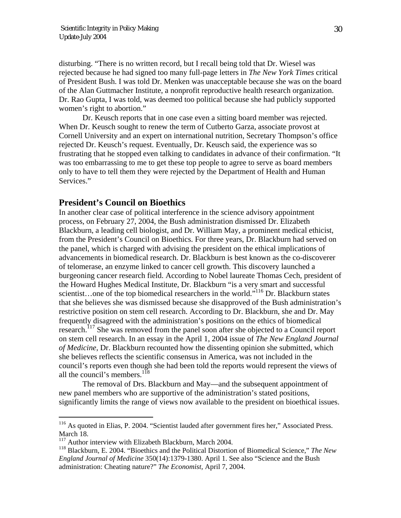disturbing. "There is no written record, but I recall being told that Dr. Wiesel was rejected because he had signed too many full-page letters in *The New York Times* critical of President Bush. I was told Dr. Menken was unacceptable because she was on the board of the Alan Guttmacher Institute, a nonprofit reproductive health research organization. Dr. Rao Gupta, I was told, was deemed too political because she had publicly supported women's right to abortion."

Dr. Keusch reports that in one case even a sitting board member was rejected. When Dr. Keusch sought to renew the term of Cutberto Garza, associate provost at Cornell University and an expert on international nutrition, Secretary Thompson's office rejected Dr. Keusch's request. Eventually, Dr. Keusch said, the experience was so frustrating that he stopped even talking to candidates in advance of their confirmation. "It was too embarrassing to me to get these top people to agree to serve as board members only to have to tell them they were rejected by the Department of Health and Human Services."

### **President's Council on Bioethics**

In another clear case of political interference in the science advisory appointment process, on February 27, 2004, the Bush administration dismissed Dr. Elizabeth Blackburn, a leading cell biologist, and Dr. William May, a prominent medical ethicist, from the President's Council on Bioethics. For three years, Dr. Blackburn had served on the panel, which is charged with advising the president on the ethical implications of advancements in biomedical research. Dr. Blackburn is best known as the co-discoverer of telomerase, an enzyme linked to cancer cell growth. This discovery launched a burgeoning cancer research field. According to Nobel laureate Thomas Cech, president of the Howard Hughes Medical Institute, Dr. Blackburn "is a very smart and successful scientist...one of the top biomedical researchers in the world.<sup>"116</sup> Dr. Blackburn states that she believes she was dismissed because she disapproved of the Bush administration's restrictive position on stem cell research. According to Dr. Blackburn, she and Dr. May frequently disagreed with the administration's positions on the ethics of biomedical research.<sup>117</sup> She was removed from the panel soon after she objected to a Council report on stem cell research. In an essay in the April 1, 2004 issue of *The New England Journal of Medicine*, Dr. Blackburn recounted how the dissenting opinion she submitted, which she believes reflects the scientific consensus in America, was not included in the council's reports even though she had been told the reports would represent the views of all the council's members. $^{118}$ 

The removal of Drs. Blackburn and May—and the subsequent appointment of new panel members who are supportive of the administration's stated positions, significantly limits the range of views now available to the president on bioethical issues.

 $\overline{a}$ 

<span id="page-29-0"></span><sup>&</sup>lt;sup>116</sup> As quoted in Elias, P. 2004. "Scientist lauded after government fires her," Associated Press. March 18.<br><sup>117</sup> Author interview with Elizabeth Blackburn, March 2004.

<span id="page-29-1"></span>

<span id="page-29-2"></span><sup>&</sup>lt;sup>118</sup> Blackburn, E. 2004. "Bioethics and the Political Distortion of Biomedical Science," *The New England Journal of Medicine* 350(14):1379-1380. April 1. See also "Science and the Bush administration: Cheating nature?" *The Economist,* April 7, 2004.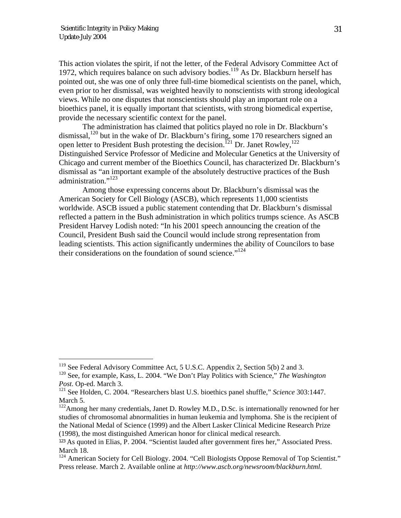$\overline{a}$ 

This action violates the spirit, if not the letter, of the Federal Advisory Committee Act of 1972, which requires balance on such advisory bodies.<sup>119</sup> As Dr. Blackburn herself has pointed out, she was one of only three full-time biomedical scientists on the panel, which, even prior to her dismissal, was weighted heavily to nonscientists with strong ideological views. While no one disputes that nonscientists should play an important role on a bioethics panel, it is equally important that scientists, with strong biomedical expertise, provide the necessary scientific context for the panel.

The administration has claimed that politics played no role in Dr. Blackburn's dismissal,<sup>120</sup> but in the wake of Dr. Blackburn's firing, some 170 researchers signed an open letter to President Bush protesting the decision.<sup> $121$ </sup> Dr. Janet Rowley,<sup>[122](#page-30-3)</sup> Distinguished Service Professor of Medicine and Molecular Genetics at the University of Chicago and current member of the Bioethics Council, has characterized Dr. Blackburn's dismissal as "an important example of the absolutely destructive practices of the Bush administration."<sup>123</sup>

Among those expressing concerns about Dr. Blackburn's dismissal was the American Society for Cell Biology (ASCB), which represents 11,000 scientists worldwide. ASCB issued a public statement contending that Dr. Blackburn's dismissal reflected a pattern in the Bush administration in which politics trumps science. As ASCB President Harvey Lodish noted: "In his 2001 speech announcing the creation of the Council, President Bush said the Council would include strong representation from leading scientists. This action significantly undermines the ability of Councilors to base their considerations on the foundation of sound science."<sup>[124](#page-30-5)</sup>

<span id="page-30-0"></span> $119$  See Federal Advisory Committee Act, 5 U.S.C. Appendix 2, Section 5(b) 2 and 3.

<span id="page-30-1"></span><sup>120</sup> See, for example, Kass, L. 2004. "We Don't Play Politics with Science," *The Washington Post.* Op-ed. March 3.

<span id="page-30-2"></span><sup>121</sup> See Holden, C. 2004. "Researchers blast U.S. bioethics panel shuffle," *Science* 303:1447. March 5.

<span id="page-30-3"></span> $122$ Among her many credentials, Janet D. Rowley M.D., D.Sc. is internationally renowned for her studies of chromosomal abnormalities in human leukemia and lymphoma. She is the recipient of the National Medal of Science (1999) and the Albert Lasker Clinical Medicine Research Prize (1998), the most distinguished American honor for clinical medical research.

<span id="page-30-4"></span><sup>123</sup> As quoted in Elias, P. 2004. "Scientist lauded after government fires her," Associated Press. March 18.

<span id="page-30-5"></span><sup>&</sup>lt;sup>124</sup> American Society for Cell Biology. 2004. "Cell Biologists Oppose Removal of Top Scientist." Press release. March 2. Available online at *http://www.ascb.org/newsroom/blackburn.html.*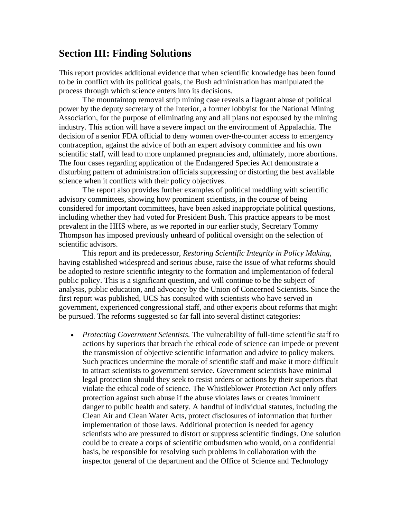## **Section III: Finding Solutions**

This report provides additional evidence that when scientific knowledge has been found to be in conflict with its political goals, the Bush administration has manipulated the process through which science enters into its decisions.

The mountaintop removal strip mining case reveals a flagrant abuse of political power by the deputy secretary of the Interior, a former lobbyist for the National Mining Association, for the purpose of eliminating any and all plans not espoused by the mining industry. This action will have a severe impact on the environment of Appalachia. The decision of a senior FDA official to deny women over-the-counter access to emergency contraception, against the advice of both an expert advisory committee and his own scientific staff, will lead to more unplanned pregnancies and, ultimately, more abortions. The four cases regarding application of the Endangered Species Act demonstrate a disturbing pattern of administration officials suppressing or distorting the best available science when it conflicts with their policy objectives.

The report also provides further examples of political meddling with scientific advisory committees, showing how prominent scientists, in the course of being considered for important committees, have been asked inappropriate political questions, including whether they had voted for President Bush. This practice appears to be most prevalent in the HHS where, as we reported in our earlier study, Secretary Tommy Thompson has imposed previously unheard of political oversight on the selection of scientific advisors.

 This report and its predecessor, *Restoring Scientific Integrity in Policy Making*, having established widespread and serious abuse, raise the issue of what reforms should be adopted to restore scientific integrity to the formation and implementation of federal public policy. This is a significant question, and will continue to be the subject of analysis, public education, and advocacy by the Union of Concerned Scientists. Since the first report was published, UCS has consulted with scientists who have served in government, experienced congressional staff, and other experts about reforms that might be pursued. The reforms suggested so far fall into several distinct categories:

• *Protecting Government Scientists.* The vulnerability of full-time scientific staff to actions by superiors that breach the ethical code of science can impede or prevent the transmission of objective scientific information and advice to policy makers. Such practices undermine the morale of scientific staff and make it more difficult to attract scientists to government service. Government scientists have minimal legal protection should they seek to resist orders or actions by their superiors that violate the ethical code of science. The Whistleblower Protection Act only offers protection against such abuse if the abuse violates laws or creates imminent danger to public health and safety. A handful of individual statutes, including the Clean Air and Clean Water Acts, protect disclosures of information that further implementation of those laws. Additional protection is needed for agency scientists who are pressured to distort or suppress scientific findings. One solution could be to create a corps of scientific ombudsmen who would, on a confidential basis, be responsible for resolving such problems in collaboration with the inspector general of the department and the Office of Science and Technology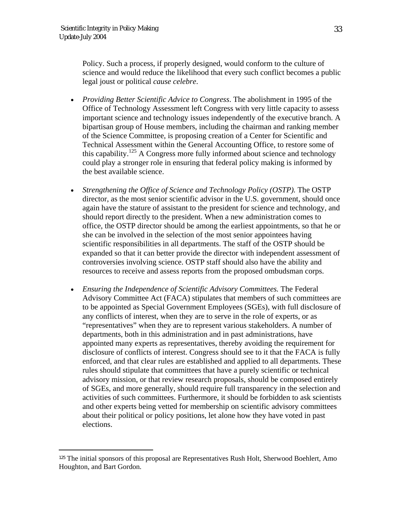$\overline{a}$ 

Policy. Such a process, if properly designed, would conform to the culture of science and would reduce the likelihood that every such conflict becomes a public legal joust or political *cause celebre*.

- *Providing Better Scientific Advice to Congress*. The abolishment in 1995 of the Office of Technology Assessment left Congress with very little capacity to assess important science and technology issues independently of the executive branch. A bipartisan group of House members, including the chairman and ranking member of the Science Committee, is proposing creation of a Center for Scientific and Technical Assessment within the General Accounting Office, to restore some of this capability.<sup>125</sup> A Congress more fully informed about science and technology could play a stronger role in ensuring that federal policy making is informed by the best available science.
- *Strengthening the Office of Science and Technology Policy (OSTP).* The OSTP director, as the most senior scientific advisor in the U.S. government, should once again have the stature of assistant to the president for science and technology, and should report directly to the president. When a new administration comes to office, the OSTP director should be among the earliest appointments, so that he or she can be involved in the selection of the most senior appointees having scientific responsibilities in all departments. The staff of the OSTP should be expanded so that it can better provide the director with independent assessment of controversies involving science. OSTP staff should also have the ability and resources to receive and assess reports from the proposed ombudsman corps.
- *Ensuring the Independence of Scientific Advisory Committees.* The Federal Advisory Committee Act (FACA) stipulates that members of such committees are to be appointed as Special Government Employees (SGEs), with full disclosure of any conflicts of interest, when they are to serve in the role of experts, or as "representatives" when they are to represent various stakeholders. A number of departments, both in this administration and in past administrations, have appointed many experts as representatives, thereby avoiding the requirement for disclosure of conflicts of interest. Congress should see to it that the FACA is fully enforced, and that clear rules are established and applied to all departments. These rules should stipulate that committees that have a purely scientific or technical advisory mission, or that review research proposals, should be composed entirely of SGEs, and more generally, should require full transparency in the selection and activities of such committees. Furthermore, it should be forbidden to ask scientists and other experts being vetted for membership on scientific advisory committees about their political or policy positions, let alone how they have voted in past elections.

<span id="page-32-0"></span><sup>125</sup> The initial sponsors of this proposal are Representatives Rush Holt, Sherwood Boehlert, Amo Houghton, and Bart Gordon.